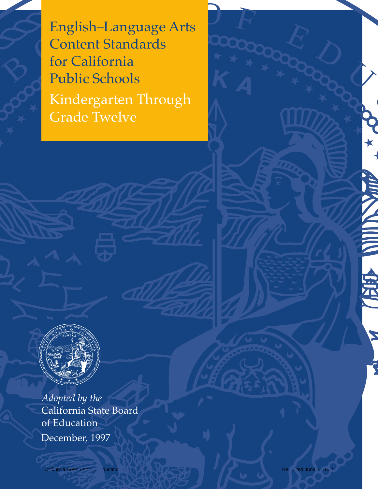glish–Language<br>Intent Standard Content Standards<br>for California<br>Public Schools for California Public Schools English–Language Arts Kindergarten Through Grade Twelve



*Adopted by the*  of Education California State Board December, 1997

 $R_{\star}^{A}$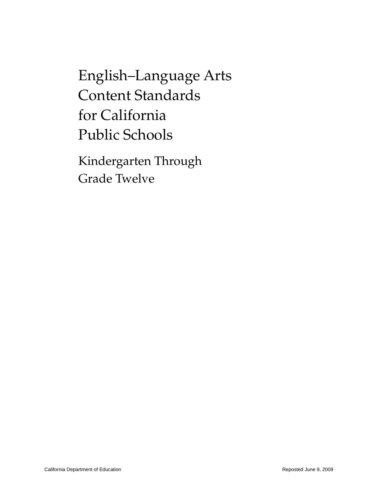English–Language Arts Content Standards for California Public Schools

Kindergarten Through Grade Twelve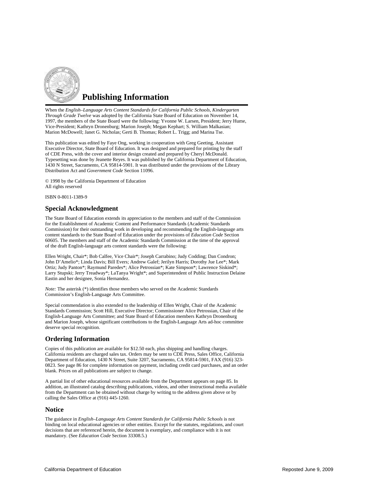

### **Publishing Information**

When the *English–Language Arts Content Standards for California Public Schools, Kindergarten Through Grade Twelve* was adopted by the California State Board of Education on November 14, 1997, the members of the State Board were the following: Yvonne W. Larsen, President; Jerry Hume, Vice-President; Kathryn Dronenburg; Marion Joseph; Megan Kephart; S. William Malkasian; Marion McDowell; Janet G. Nicholas; Gerti B. Thomas; Robert L. Trigg; and Marina Tse.

This publication was edited by Faye Ong, working in cooperation with Greg Geeting, Assistant Executive Director, State Board of Education. It was designed and prepared for printing by the staff of CDE Press, with the cover and interior design created and prepared by Cheryl McDonald. Typesetting was done by Jeanette Reyes. It was published by the California Department of Education, 1430 N Street, Sacramento, CA 95814-5901. It was distributed under the provisions of the Library Distribution Act and *Government Code* Section 11096.

© 1998 by the California Department of Education All rights reserved

ISBN 0-8011-1389-9

#### **Special Acknowledgment**

The State Board of Education extends its appreciation to the members and staff of the Commission for the Establishment of Academic Content and Performance Standards (Academic Standards Commission) for their outstanding work in developing and recommending the English-language arts content standards to the State Board of Education under the provisions of *Education Code* Section 60605. The members and staff of the Academic Standards Commission at the time of the approval of the draft English-language arts content standards were the following:

Ellen Wright, Chair\*; Bob Calfee, Vice Chair\*; Joseph Carrabino; Judy Codding; Dan Condron; John D'Amelio\*; Linda Davis; Bill Evers; Andrew Galef; Jerilyn Harris; Dorothy Jue Lee\*; Mark Ortiz; Judy Panton\*; Raymund Paredes\*; Alice Petrossian\*; Kate Simpson\*; Lawrence Siskind\*; Larry Stupski; Jerry Treadway\*; LaTanya Wright\*; and Superintendent of Public Instruction Delaine Eastin and her designee, Sonia Hernandez.

*Note:* The asterisk (\*) identifies those members who served on the Academic Standards Commission's English-Language Arts Committee.

Special commendation is also extended to the leadership of Ellen Wright, Chair of the Academic Standards Commission; Scott Hill, Executive Director; Commissioner Alice Petrossian, Chair of the English-Language Arts Committee; and State Board of Education members Kathryn Dronenburg and Marion Joseph, whose significant contributions to the English-Language Arts ad-hoc committee deserve special recognition.

#### **Ordering Information**

Copies of this publication are available for \$12.50 each, plus shipping and handling charges. California residents are charged sales tax. Orders may be sent to CDE Press, Sales Office, California Department of Education, 1430 N Street, Suite 3207, Sacramento, CA 95814-5901, FAX (916) 323 0823. See page 86 for complete information on payment, including credit card purchases, and an order blank. Prices on all publications are subject to change.

A partial list of other educational resources available from the Department appears on page 85. In addition, an illustrated catalog describing publications, videos, and other instructional media available from the Department can be obtained without charge by writing to the address given above or by calling the Sales Office at (916) 445-1260.

#### **Notice**

The guidance in *English–Language Arts Content Standards for California Public Schools* is not binding on local educational agencies or other entities. Except for the statutes, regulations, and court decisions that are referenced herein, the document is exemplary, and compliance with it is not mandatory. (See *Education Code* Section 33308.5.)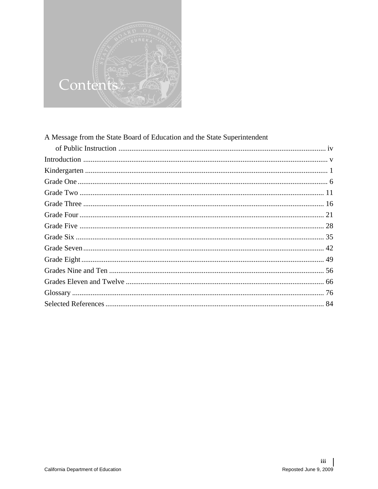

### A Message from the State Board of Education and the State Superintendent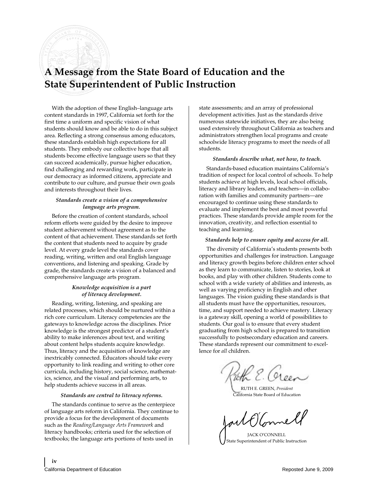## **A Message from the State Board of Education and the State Superintendent of Public Instruction**

With the adoption of these English–language arts content standards in 1997, California set forth for the first time a uniform and specific vision of what students should know and be able to do in this subject area. Reflecting a strong consensus among educators, these standards establish high expectations for all students. They embody our collective hope that all students become effective language users so that they can succeed academically, pursue higher education, find challenging and rewarding work, participate in our democracy as informed citizens, appreciate and contribute to our culture, and pursue their own goals and interests throughout their lives.

#### *Standards create a vision of a comprehensive language arts program.*

Before the creation of content standards, school reform efforts were guided by the desire to improve student achievement without agreement as to the content of that achievement. These standards set forth the content that students need to acquire by grade level. At every grade level the standards cover reading, writing, written and oral English language conventions, and listening and speaking. Grade by grade, the standards create a vision of a balanced and comprehensive language arts program.

#### *Knowledge acquisition is a part of literacy development.*

Reading, writing, listening, and speaking are related processes, which should be nurtured within a rich core curriculum. Literacy competencies are the gateways to knowledge across the disciplines. Prior knowledge is the strongest predictor of a student's ability to make inferences about text, and writing about content helps students acquire knowledge. Thus, literacy and the acquisition of knowledge are inextricably connected. Educators should take every opportunity to link reading and writing to other core curricula, including history, social science, mathematics, science, and the visual and performing arts, to help students achieve success in all areas.

#### *Standards are central to literacy reforms.*

The standards continue to serve as the centerpiece of language arts reform in California. They continue to provide a focus for the development of documents such as the *Reading/Language Arts Framework* and literacy handbooks; criteria used for the selection of textbooks; the language arts portions of tests used in

state assessments*;* and an array of professional development activities. Just as the standards drive numerous statewide initiatives, they are also being used extensively throughout California as teachers and administrators strengthen local programs and create schoolwide literacy programs to meet the needs of all students.

#### *Standards describe what, not how, to teach.*

Standards-based education maintains California's tradition of respect for local control of schools. To help students achieve at high levels, local school officials, literacy and library leaders, and teachers—in collaboration with families and community partners—are encouraged to continue using these standards to evaluate and implement the best and most powerful practices. These standards provide ample room for the innovation, creativity, and reflection essential to teaching and learning.

#### *Standards help to ensure equity and access for all.*

The diversity of California's students presents both opportunities and challenges for instruction. Language and literacy growth begins before children enter school as they learn to communicate, listen to stories, look at books, and play with other children. Students come to school with a wide variety of abilities and interests, as well as varying proficiency in English and other languages. The vision guiding these standards is that all students must have the opportunities, resources, time, and support needed to achieve mastery. Literacy is a gateway skill, opening a world of possibilities to students. Our goal is to ensure that every student graduating from high school is prepared to transition successfully to postsecondary education and careers. These standards represent our commitment to excellence for *all* children.

RUTH E. GREEN, *President* California State Board of Education

JACK O'CONNELL State Superintendent of Public Instruction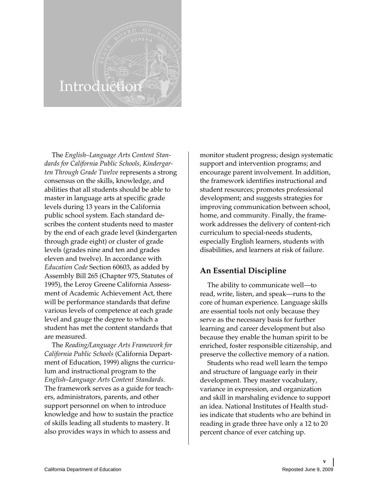# Introduction

The *English–Language Arts Content Standards for California Public Schools, Kindergarten Through Grade Twelve* represents a strong consensus on the skills, knowledge, and abilities that all students should be able to master in language arts at specific grade levels during 13 years in the California public school system. Each standard describes the content students need to master by the end of each grade level (kindergarten through grade eight) or cluster of grade levels (grades nine and ten and grades eleven and twelve). In accordance with *Education Code* Section 60603, as added by Assembly Bill 265 (Chapter 975, Statutes of 1995), the Leroy Greene California Assessment of Academic Achievement Act, there will be performance standards that define various levels of competence at each grade level and gauge the degree to which a student has met the content standards that are measured.

The *Reading/Language Arts Framework for California Public Schools* (California Department of Education, 1999) aligns the curriculum and instructional program to the *English–Language Arts Content Standards.*  The framework serves as a guide for teachers, administrators, parents, and other support personnel on when to introduce knowledge and how to sustain the practice of skills leading all students to mastery. It also provides ways in which to assess and

monitor student progress; design systematic support and intervention programs; and encourage parent involvement. In addition, the framework identifies instructional and student resources; promotes professional development; and suggests strategies for improving communication between school, home, and community. Finally, the framework addresses the delivery of content-rich curriculum to special-needs students, especially English learners, students with disabilities, and learners at risk of failure.

#### **An Essential Discipline**

The ability to communicate well—to read, write, listen, and speak—runs to the core of human experience. Language skills are essential tools not only because they serve as the necessary basis for further learning and career development but also because they enable the human spirit to be enriched, foster responsible citizenship, and preserve the collective memory of a nation.

Students who read well learn the tempo and structure of language early in their development. They master vocabulary, variance in expression, and organization and skill in marshaling evidence to support an idea. National Institutes of Health studies indicate that students who are behind in reading in grade three have only a 12 to 20 percent chance of ever catching up.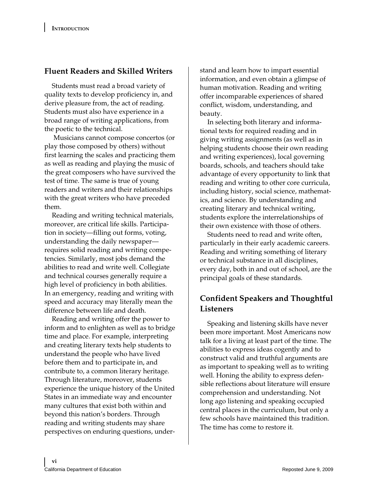### **Fluent Readers and Skilled Writers**

Students must read a broad variety of quality texts to develop proficiency in, and derive pleasure from, the act of reading. Students must also have experience in a broad range of writing applications, from the poetic to the technical.

 Musicians cannot compose concertos (or play those composed by others) without first learning the scales and practicing them as well as reading and playing the music of the great composers who have survived the test of time. The same is true of young readers and writers and their relationships with the great writers who have preceded them.

Reading and writing technical materials, moreover, are critical life skills. Participation in society—filling out forms, voting, understanding the daily newspaper requires solid reading and writing competencies. Similarly, most jobs demand the abilities to read and write well. Collegiate and technical courses generally require a high level of proficiency in both abilities. In an emergency, reading and writing with speed and accuracy may literally mean the difference between life and death.

Reading and writing offer the power to inform and to enlighten as well as to bridge time and place. For example, interpreting and creating literary texts help students to understand the people who have lived before them and to participate in, and contribute to, a common literary heritage. Through literature, moreover, students experience the unique history of the United States in an immediate way and encounter many cultures that exist both within and beyond this nation's borders. Through reading and writing students may share perspectives on enduring questions, under-

stand and learn how to impart essential information, and even obtain a glimpse of human motivation. Reading and writing offer incomparable experiences of shared conflict, wisdom, understanding, and beauty.

In selecting both literary and informational texts for required reading and in giving writing assignments (as well as in helping students choose their own reading and writing experiences), local governing boards, schools, and teachers should take advantage of every opportunity to link that reading and writing to other core curricula, including history, social science, mathematics, and science. By understanding and creating literary and technical writing, students explore the interrelationships of their own existence with those of others.

Students need to read and write often, particularly in their early academic careers. Reading and writing something of literary or technical substance in all disciplines, every day, both in and out of school, are the principal goals of these standards.

### **Confident Speakers and Thoughtful Listeners**

Speaking and listening skills have never been more important. Most Americans now talk for a living at least part of the time. The abilities to express ideas cogently and to construct valid and truthful arguments are as important to speaking well as to writing well. Honing the ability to express defensible reflections about literature will ensure comprehension and understanding. Not long ago listening and speaking occupied central places in the curriculum, but only a few schools have maintained this tradition. The time has come to restore it.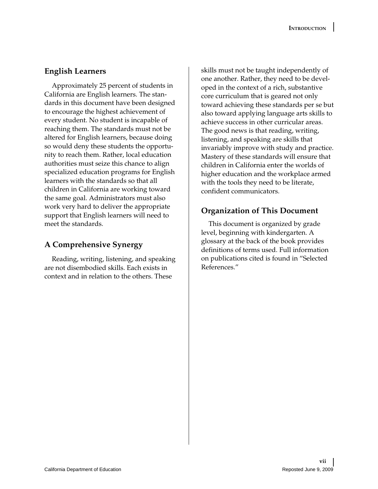### **English Learners**

Approximately 25 percent of students in California are English learners. The standards in this document have been designed to encourage the highest achievement of every student. No student is incapable of reaching them. The standards must not be altered for English learners, because doing so would deny these students the opportunity to reach them. Rather, local education authorities must seize this chance to align specialized education programs for English learners with the standards so that all children in California are working toward the same goal. Administrators must also work very hard to deliver the appropriate support that English learners will need to meet the standards.

### **A Comprehensive Synergy**

Reading, writing, listening, and speaking are not disembodied skills. Each exists in context and in relation to the others. These

skills must not be taught independently of one another. Rather, they need to be developed in the context of a rich, substantive core curriculum that is geared not only toward achieving these standards per se but also toward applying language arts skills to achieve success in other curricular areas. The good news is that reading, writing, listening, and speaking are skills that invariably improve with study and practice. Mastery of these standards will ensure that children in California enter the worlds of higher education and the workplace armed with the tools they need to be literate, confident communicators.

### **Organization of This Document**

This document is organized by grade level, beginning with kindergarten. A glossary at the back of the book provides definitions of terms used. Full information on publications cited is found in "Selected References."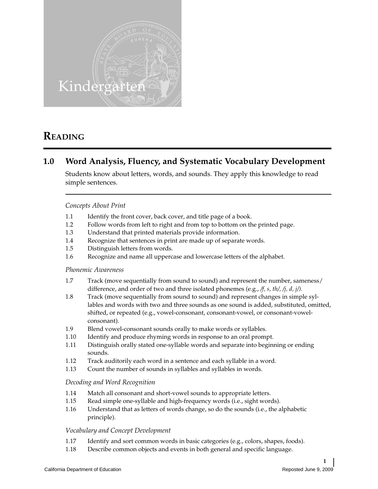

## **READING**

### **1.0 Word Analysis, Fluency, and Systematic Vocabulary Development**

Students know about letters, words, and sounds. They apply this knowledge to read simple sentences.

#### *Concepts About Print*

- 1.1 Identify the front cover, back cover, and title page of a book.
- 1.2 Follow words from left to right and from top to bottom on the printed page.
- 1.3 Understand that printed materials provide information.
- 1.4 Recognize that sentences in print are made up of separate words.
- 1.5 Distinguish letters from words.
- 1.6 Recognize and name all uppercase and lowercase letters of the alphabet.

#### *Phonemic Awareness*

- 1.7 Track (move sequentially from sound to sound) and represent the number, sameness/ difference, and order of two and three isolated phonemes (e.g., */f, s, th/, /j, d, j/).*
- 1.8 Track (move sequentially from sound to sound) and represent changes in simple syllables and words with two and three sounds as one sound is added, substituted, omitted, shifted, or repeated (e.g., vowel-consonant, consonant-vowel, or consonant-vowelconsonant).
- 1.9 Blend vowel-consonant sounds orally to make words or syllables.
- 1.10 Identify and produce rhyming words in response to an oral prompt.
- 1.11 Distinguish orally stated one-syllable words and separate into beginning or ending sounds.
- 1.12 Track auditorily each word in a sentence and each syllable in a word.
- 1.13 Count the number of sounds in syllables and syllables in words.

#### *Decoding and Word Recognition*

- 1.14 Match all consonant and short-vowel sounds to appropriate letters.
- 1.15 Read simple one-syllable and high-frequency words (i.e., sight words).
- 1.16 Understand that as letters of words change, so do the sounds (i.e., the alphabetic principle).

#### *Vocabulary and Concept Development*

- 1.17 Identify and sort common words in basic categories (e.g., colors, shapes, foods).
- 1.18 Describe common objects and events in both general and specific language.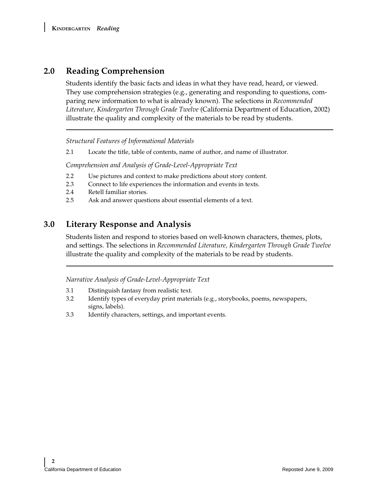### **2.0 Reading Comprehension**

Students identify the basic facts and ideas in what they have read, heard, or viewed. They use comprehension strategies (e.g., generating and responding to questions, comparing new information to what is already known). The selections in *Recommended Literature, Kindergarten Through Grade Twelve* (California Department of Education, 2002) illustrate the quality and complexity of the materials to be read by students.

*Structural Features of Informational Materials* 

2.1 Locate the title, table of contents, name of author, and name of illustrator.

*Comprehension and Analysis of Grade-Level-Appropriate Text* 

- 2.2 Use pictures and context to make predictions about story content.
- 2.3 Connect to life experiences the information and events in texts.
- 2.4 Retell familiar stories.
- 2.5 Ask and answer questions about essential elements of a text.

### **3.0 Literary Response and Analysis**

Students listen and respond to stories based on well-known characters, themes, plots, and settings. The selections in *Recommended Literature, Kindergarten Through Grade Twelve*  illustrate the quality and complexity of the materials to be read by students.

*Narrative Analysis of Grade-Level-Appropriate Text* 

- 3.1 Distinguish fantasy from realistic text.
- 3.2 Identify types of everyday print materials (e.g., storybooks, poems, newspapers, signs, labels).
- 3.3 Identify characters, settings, and important events.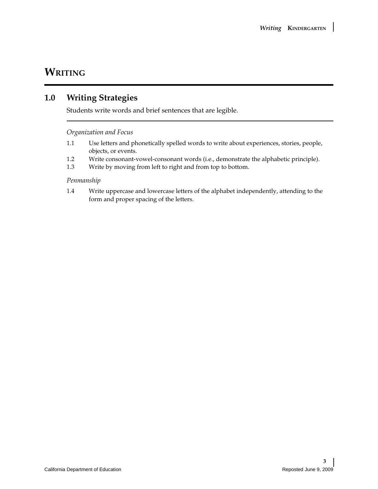## **WRITING**

### **1.0 Writing Strategies**

Students write words and brief sentences that are legible.

#### *Organization and Focus*

- 1.1 Use letters and phonetically spelled words to write about experiences, stories, people, objects, or events.
- 1.2 Write consonant-vowel-consonant words (i.e., demonstrate the alphabetic principle).
- 1.3 Write by moving from left to right and from top to bottom.

#### *Penmanship*

1.4 Write uppercase and lowercase letters of the alphabet independently, attending to the form and proper spacing of the letters.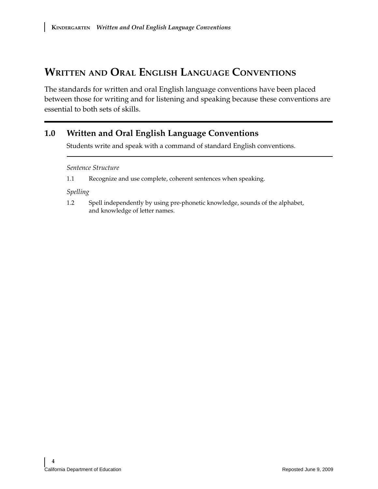## **WRITTEN AND ORAL ENGLISH LANGUAGE CONVENTIONS**

The standards for written and oral English language conventions have been placed between those for writing and for listening and speaking because these conventions are essential to both sets of skills.

### **1.0 Written and Oral English Language Conventions**

Students write and speak with a command of standard English conventions.

#### *Sentence Structure*

1.1 Recognize and use complete, coherent sentences when speaking.

#### *Spelling*

1.2 Spell independently by using pre-phonetic knowledge, sounds of the alphabet, and knowledge of letter names.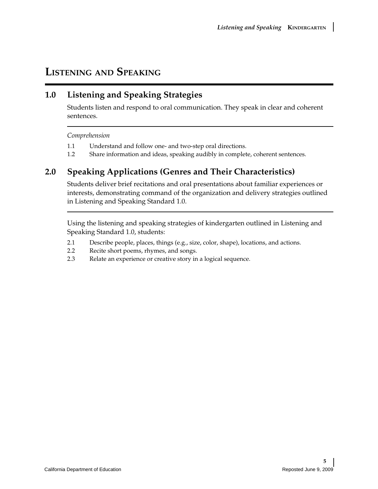## **LISTENING AND SPEAKING**

### **1.0 Listening and Speaking Strategies**

Students listen and respond to oral communication. They speak in clear and coherent sentences.

*Comprehension* 

- 1.1 Understand and follow one- and two-step oral directions.
- 1.2 Share information and ideas, speaking audibly in complete, coherent sentences.

### **2.0 Speaking Applications (Genres and Their Characteristics)**

Students deliver brief recitations and oral presentations about familiar experiences or interests, demonstrating command of the organization and delivery strategies outlined in Listening and Speaking Standard 1.0.

Using the listening and speaking strategies of kindergarten outlined in Listening and Speaking Standard 1.0, students:

- 2.1 Describe people, places, things (e.g., size, color, shape), locations, and actions.
- 2.2 Recite short poems, rhymes, and songs.
- 2.3 Relate an experience or creative story in a logical sequence.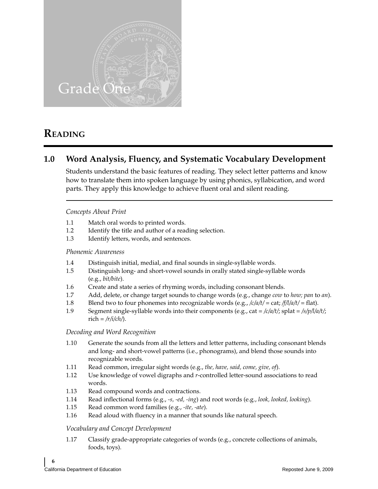

## **READING**

### **1.0 Word Analysis, Fluency, and Systematic Vocabulary Development**

Students understand the basic features of reading. They select letter patterns and know how to translate them into spoken language by using phonics, syllabication, and word parts. They apply this knowledge to achieve fluent oral and silent reading.

#### *Concepts About Print*

- 1.1 Match oral words to printed words.
- 1.2 Identify the title and author of a reading selection.
- 1.3 Identify letters, words, and sentences.

#### *Phonemic Awareness*

- 1.4 Distinguish initial, medial, and final sounds in single-syllable words.
- 1.5 Distinguish long- and short-vowel sounds in orally stated single-syllable words (e.g., *bit/bite*).
- 1.6 Create and state a series of rhyming words, including consonant blends.
- 1.7 Add, delete, or change target sounds to change words (e.g., change *cow* to *how; pan* to *an*).
- 1.8 Blend two to four phonemes into recognizable words (e.g., */c/a/t/* = cat; */f/l/a/t/* = flat).
- 1.9 Segment single-syllable words into their components (e.g., cat = */c/a/t/*; splat = */s/p/l/a/t/*; rich = */r/i/ch/*).

#### *Decoding and Word Recognition*

- 1.10 Generate the sounds from all the letters and letter patterns, including consonant blends and long- and short-vowel patterns (i.e., phonograms), and blend those sounds into recognizable words.
- 1.11 Read common, irregular sight words (e.g., *the, have, said, come, give, of*).
- 1.12 Use knowledge of vowel digraphs and *r*-controlled letter-sound associations to read words.
- 1.13 Read compound words and contractions.
- 1.14 Read inflectional forms (e.g., *-s, -ed, -ing*) and root words (e.g., *look, looked, looking*).
- 1.15 Read common word families (e.g., *-ite, -ate*).
- 1.16 Read aloud with fluency in a manner that sounds like natural speech.

#### *Vocabulary and Concept Development*

1.17 Classify grade-appropriate categories of words (e.g., concrete collections of animals, foods, toys).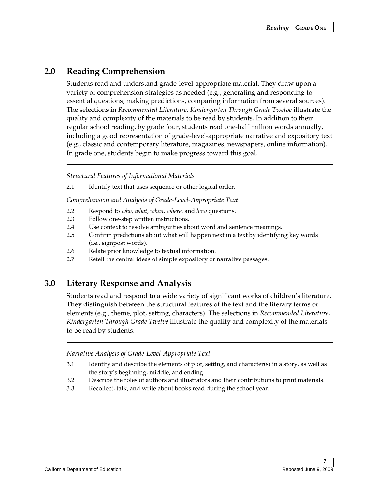### **2.0 Reading Comprehension**

Students read and understand grade-level-appropriate material. They draw upon a variety of comprehension strategies as needed (e.g., generating and responding to essential questions, making predictions, comparing information from several sources). The selections in *Recommended Literature, Kindergarten Through Grade Twelve* illustrate the quality and complexity of the materials to be read by students. In addition to their regular school reading, by grade four, students read one-half million words annually, including a good representation of grade-level-appropriate narrative and expository text (e.g., classic and contemporary literature, magazines, newspapers, online information). In grade one, students begin to make progress toward this goal.

#### *Structural Features of Informational Materials*

2.1 Identify text that uses sequence or other logical order.

*Comprehension and Analysis of Grade-Level-Appropriate Text* 

- 2.2 Respond to *who, what, when, where,* and *how* questions.
- 2.3 Follow one-step written instructions.
- 2.4 Use context to resolve ambiguities about word and sentence meanings.
- 2.5 Confirm predictions about what will happen next in a text by identifying key words (i.e., signpost words).
- 2.6 Relate prior knowledge to textual information.
- 2.7 Retell the central ideas of simple expository or narrative passages.

### **3.0 Literary Response and Analysis**

Students read and respond to a wide variety of significant works of children's literature. They distinguish between the structural features of the text and the literary terms or elements (e.g., theme, plot, setting, characters). The selections in *Recommended Literature, Kindergarten Through Grade Twelve* illustrate the quality and complexity of the materials to be read by students.

*Narrative Analysis of Grade-Level-Appropriate Text* 

- 3.1 Identify and describe the elements of plot, setting, and character(s) in a story, as well as the story's beginning, middle, and ending.
- 3.2 Describe the roles of authors and illustrators and their contributions to print materials.
- 3.3 Recollect, talk, and write about books read during the school year.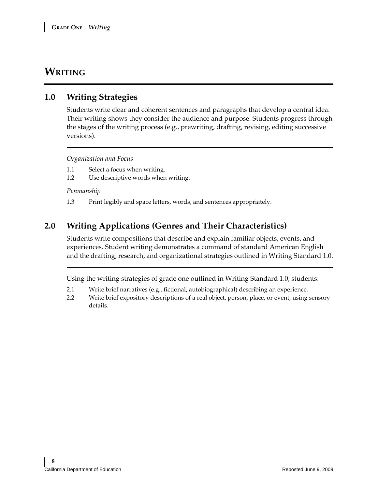## **WRITING**

### **1.0 Writing Strategies**

Students write clear and coherent sentences and paragraphs that develop a central idea. Their writing shows they consider the audience and purpose. Students progress through the stages of the writing process (e.g., prewriting, drafting, revising, editing successive versions).

*Organization and Focus* 

- 1.1 Select a focus when writing.
- 1.2 Use descriptive words when writing.

#### *Penmanship*

1.3 Print legibly and space letters, words, and sentences appropriately.

### **2.0 Writing Applications (Genres and Their Characteristics)**

Students write compositions that describe and explain familiar objects, events, and experiences. Student writing demonstrates a command of standard American English and the drafting, research, and organizational strategies outlined in Writing Standard 1.0.

Using the writing strategies of grade one outlined in Writing Standard 1.0, students:

- 2.1 Write brief narratives (e.g., fictional, autobiographical) describing an experience.
- 2.2 Write brief expository descriptions of a real object, person, place, or event, using sensory details.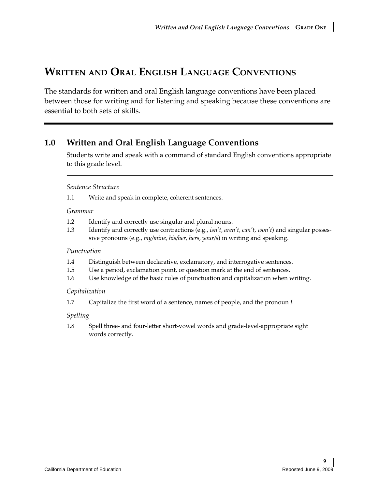## **WRITTEN AND ORAL ENGLISH LANGUAGE CONVENTIONS**

The standards for written and oral English language conventions have been placed between those for writing and for listening and speaking because these conventions are essential to both sets of skills.

### **1.0 Written and Oral English Language Conventions**

Students write and speak with a command of standard English conventions appropriate to this grade level.

#### *Sentence Structure*

1.1 Write and speak in complete, coherent sentences.

#### *Grammar*

- 1.2 Identify and correctly use singular and plural nouns.
- 1.3 Identify and correctly use contractions (e.g., *isn't, aren't, can't, won't*) and singular possessive pronouns (e.g., *my/mine, his/her, hers, your/s*) in writing and speaking.

#### *Punctuation*

- 1.4 Distinguish between declarative, exclamatory, and interrogative sentences.
- 1.5 Use a period, exclamation point, or question mark at the end of sentences.
- 1.6 Use knowledge of the basic rules of punctuation and capitalization when writing.

#### *Capitalization*

1.7 Capitalize the first word of a sentence, names of people, and the pronoun *I.* 

#### *Spelling*

1.8 Spell three- and four-letter short-vowel words and grade-level-appropriate sight words correctly.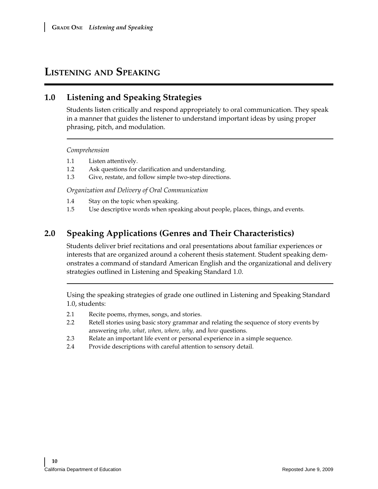## **LISTENING AND SPEAKING**

### **1.0 Listening and Speaking Strategies**

Students listen critically and respond appropriately to oral communication. They speak in a manner that guides the listener to understand important ideas by using proper phrasing, pitch, and modulation.

#### *Comprehension*

- 1.1 Listen attentively.
- 1.2 Ask questions for clarification and understanding.
- 1.3 Give, restate, and follow simple two-step directions.

*Organization and Delivery of Oral Communication* 

- 1.4 Stay on the topic when speaking.
- 1.5 Use descriptive words when speaking about people, places, things, and events.

### **2.0 Speaking Applications (Genres and Their Characteristics)**

Students deliver brief recitations and oral presentations about familiar experiences or interests that are organized around a coherent thesis statement. Student speaking demonstrates a command of standard American English and the organizational and delivery strategies outlined in Listening and Speaking Standard 1.0.

Using the speaking strategies of grade one outlined in Listening and Speaking Standard 1.0, students:

- 2.1 Recite poems, rhymes, songs, and stories.
- 2.2 Retell stories using basic story grammar and relating the sequence of story events by answering *who, what, when, where, why,* and *how* questions.
- 2.3 Relate an important life event or personal experience in a simple sequence.
- 2.4 Provide descriptions with careful attention to sensory detail.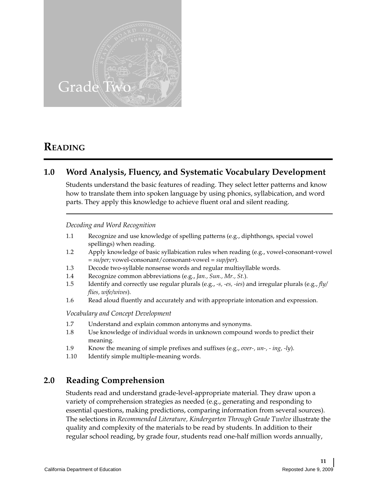

## **READING**

### **1.0 Word Analysis, Fluency, and Systematic Vocabulary Development**

Students understand the basic features of reading. They select letter patterns and know how to translate them into spoken language by using phonics, syllabication, and word parts. They apply this knowledge to achieve fluent oral and silent reading.

#### *Decoding and Word Recognition*

- 1.1 Recognize and use knowledge of spelling patterns (e.g., diphthongs, special vowel spellings) when reading.
- 1.2 Apply knowledge of basic syllabication rules when reading (e.g., vowel-consonant-vowel = *su/per;* vowel-consonant/consonant-vowel = *sup/per*).
- 1.3 Decode two-syllable nonsense words and regular multisyllable words.
- 1.4 Recognize common abbreviations (e.g., *Jan., Sun., Mr., St.*).
- 1.5 Identify and correctly use regular plurals (e.g., *-s, -es, -ies*) and irregular plurals (e.g., *fly/ flies, wife/wives*).
- 1.6 Read aloud fluently and accurately and with appropriate intonation and expression.

*Vocabulary and Concept Development* 

- 1.7 Understand and explain common antonyms and synonyms.
- 1.8 Use knowledge of individual words in unknown compound words to predict their meaning.
- 1.9 Know the meaning of simple prefixes and suffixes (e.g., *over-, un-, ing, -ly*).
- 1.10 Identify simple multiple-meaning words.

### **2.0 Reading Comprehension**

Students read and understand grade-level-appropriate material. They draw upon a variety of comprehension strategies as needed (e.g., generating and responding to essential questions, making predictions, comparing information from several sources). The selections in *Recommended Literature, Kindergarten Through Grade Twelve* illustrate the quality and complexity of the materials to be read by students. In addition to their regular school reading, by grade four, students read one-half million words annually,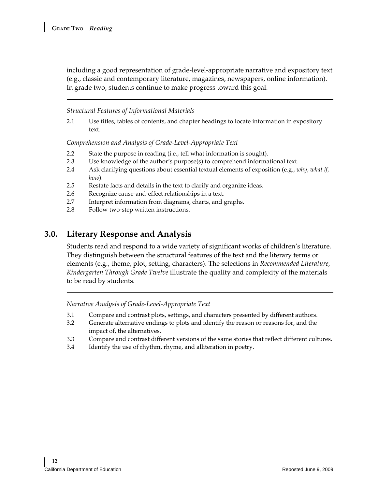including a good representation of grade-level-appropriate narrative and expository text (e.g., classic and contemporary literature, magazines, newspapers, online information). In grade two, students continue to make progress toward this goal.

#### *Structural Features of Informational Materials*

2.1 Use titles, tables of contents, and chapter headings to locate information in expository text.

*Comprehension and Analysis of Grade-Level-Appropriate Text* 

- 2.2 State the purpose in reading (i.e., tell what information is sought).
- 2.3 Use knowledge of the author's purpose(s) to comprehend informational text.
- 2.4 Ask clarifying questions about essential textual elements of exposition (e.g., *why, what if, how*).
- 2.5 Restate facts and details in the text to clarify and organize ideas.
- 2.6 Recognize cause-and-effect relationships in a text.
- 2.7 Interpret information from diagrams, charts, and graphs.
- 2.8 Follow two-step written instructions.

### **3.0. Literary Response and Analysis**

Students read and respond to a wide variety of significant works of children's literature. They distinguish between the structural features of the text and the literary terms or elements (e.g., theme, plot, setting, characters). The selections in *Recommended Literature, Kindergarten Through Grade Twelve* illustrate the quality and complexity of the materials to be read by students.

*Narrative Analysis of Grade-Level-Appropriate Text* 

- 3.1 Compare and contrast plots, settings, and characters presented by different authors.
- 3.2 Generate alternative endings to plots and identify the reason or reasons for, and the impact of, the alternatives.
- 3.3 Compare and contrast different versions of the same stories that reflect different cultures.
- 3.4 Identify the use of rhythm, rhyme, and alliteration in poetry.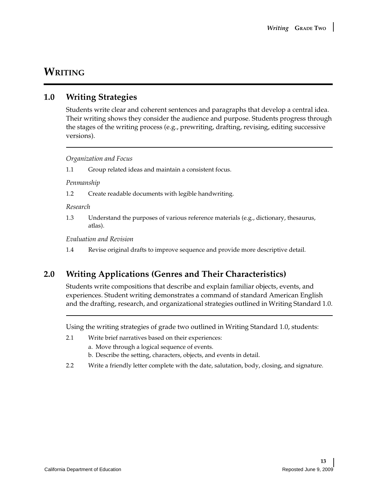## **WRITING**

### **1.0 Writing Strategies**

Students write clear and coherent sentences and paragraphs that develop a central idea. Their writing shows they consider the audience and purpose. Students progress through the stages of the writing process (e.g., prewriting, drafting, revising, editing successive versions).

*Organization and Focus* 

1.1 Group related ideas and maintain a consistent focus.

#### *Penmanship*

1.2 Create readable documents with legible handwriting.

*Research* 

1.3 Understand the purposes of various reference materials (e.g., dictionary, thesaurus, atlas).

*Evaluation and Revision* 

1.4 Revise original drafts to improve sequence and provide more descriptive detail.

### **2.0 Writing Applications (Genres and Their Characteristics)**

Students write compositions that describe and explain familiar objects, events, and experiences. Student writing demonstrates a command of standard American English and the drafting, research, and organizational strategies outlined in Writing Standard 1.0.

Using the writing strategies of grade two outlined in Writing Standard 1.0, students:

- 2.1 Write brief narratives based on their experiences:
	- a. Move through a logical sequence of events.
	- b. Describe the setting, characters, objects, and events in detail.
- 2.2 Write a friendly letter complete with the date, salutation, body, closing, and signature.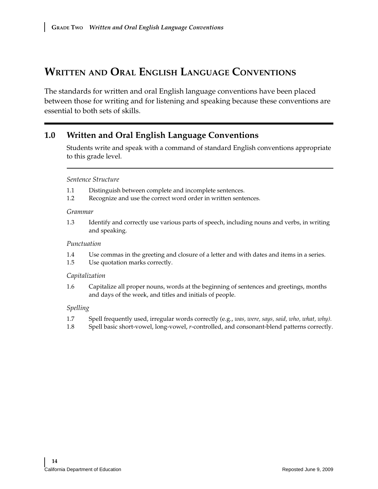## **WRITTEN AND ORAL ENGLISH LANGUAGE CONVENTIONS**

The standards for written and oral English language conventions have been placed between those for writing and for listening and speaking because these conventions are essential to both sets of skills.

### **1.0 Written and Oral English Language Conventions**

Students write and speak with a command of standard English conventions appropriate to this grade level.

#### *Sentence Structure*

- 1.1 Distinguish between complete and incomplete sentences.
- 1.2 Recognize and use the correct word order in written sentences.

#### *Grammar*

1.3 Identify and correctly use various parts of speech, including nouns and verbs, in writing and speaking.

#### *Punctuation*

- 1.4 Use commas in the greeting and closure of a letter and with dates and items in a series.
- 1.5 Use quotation marks correctly.

#### *Capitalization*

1.6 Capitalize all proper nouns, words at the beginning of sentences and greetings, months and days of the week, and titles and initials of people.

#### *Spelling*

- 1.7 Spell frequently used, irregular words correctly (e.g., *was, were, says, said, who, what, why).*
- 1.8 Spell basic short-vowel, long-vowel, *r*-controlled, and consonant-blend patterns correctly.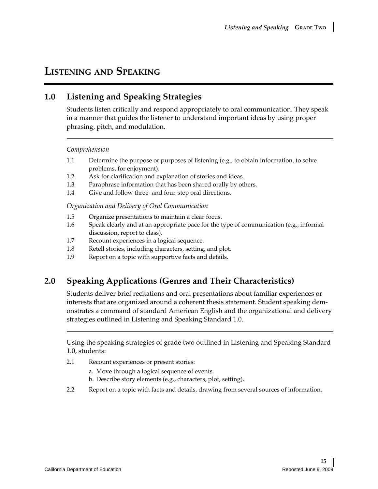## **LISTENING AND SPEAKING**

### **1.0 Listening and Speaking Strategies**

Students listen critically and respond appropriately to oral communication. They speak in a manner that guides the listener to understand important ideas by using proper phrasing, pitch, and modulation.

#### *Comprehension*

- 1.1 Determine the purpose or purposes of listening (e.g., to obtain information, to solve problems, for enjoyment).
- 1.2 Ask for clarification and explanation of stories and ideas.
- 1.3 Paraphrase information that has been shared orally by others.
- 1.4 Give and follow three- and four-step oral directions.

*Organization and Delivery of Oral Communication* 

- 1.5 Organize presentations to maintain a clear focus.
- 1.6 Speak clearly and at an appropriate pace for the type of communication (e.g., informal discussion, report to class).
- 1.7 Recount experiences in a logical sequence.
- 1.8 Retell stories, including characters, setting, and plot.
- 1.9 Report on a topic with supportive facts and details.

### **2.0 Speaking Applications (Genres and Their Characteristics)**

Students deliver brief recitations and oral presentations about familiar experiences or interests that are organized around a coherent thesis statement. Student speaking demonstrates a command of standard American English and the organizational and delivery strategies outlined in Listening and Speaking Standard 1.0.

Using the speaking strategies of grade two outlined in Listening and Speaking Standard 1.0, students:

- 2.1 Recount experiences or present stories:
	- a. Move through a logical sequence of events.
	- b. Describe story elements (e.g., characters, plot, setting).
- 2.2 Report on a topic with facts and details, drawing from several sources of information.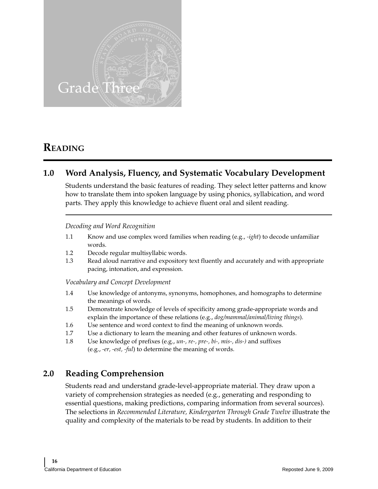

## **READING**

### **1.0 Word Analysis, Fluency, and Systematic Vocabulary Development**

Students understand the basic features of reading. They select letter patterns and know how to translate them into spoken language by using phonics, syllabication, and word parts. They apply this knowledge to achieve fluent oral and silent reading.

#### *Decoding and Word Recognition*

- 1.1 Know and use complex word families when reading (e.g., *-ight*) to decode unfamiliar words.
- 1.2 Decode regular multisyllabic words.
- 1.3 Read aloud narrative and expository text fluently and accurately and with appropriate pacing, intonation, and expression.

*Vocabulary and Concept Development* 

- 1.4 Use knowledge of antonyms, synonyms, homophones, and homographs to determine the meanings of words.
- 1.5 Demonstrate knowledge of levels of specificity among grade-appropriate words and explain the importance of these relations (e.g., *dog/mammal/animal/living things*).
- 1.6 Use sentence and word context to find the meaning of unknown words.
- 1.7 Use a dictionary to learn the meaning and other features of unknown words.
- 1.8 Use knowledge of prefixes (e.g., *un-, re-, pre-, bi-, mis-, dis-)* and suffixes (e.g., *-er, -est, -ful*) to determine the meaning of words.

### **2.0 Reading Comprehension**

Students read and understand grade-level-appropriate material. They draw upon a variety of comprehension strategies as needed (e.g., generating and responding to essential questions, making predictions, comparing information from several sources). The selections in *Recommended Literature, Kindergarten Through Grade Twelve* illustrate the quality and complexity of the materials to be read by students. In addition to their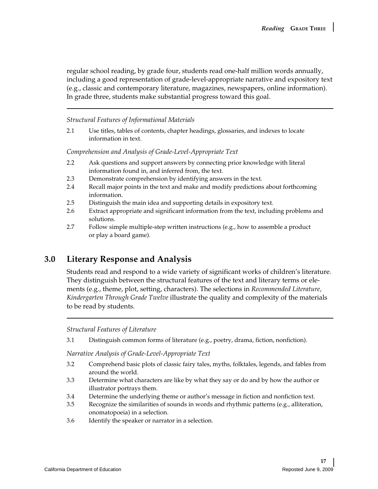regular school reading, by grade four, students read one-half million words annually, including a good representation of grade-level-appropriate narrative and expository text (e.g., classic and contemporary literature, magazines, newspapers, online information). In grade three, students make substantial progress toward this goal.

#### *Structural Features of Informational Materials*

2.1 Use titles, tables of contents, chapter headings, glossaries, and indexes to locate information in text.

*Comprehension and Analysis of Grade-Level-Appropriate Text* 

- 2.2 Ask questions and support answers by connecting prior knowledge with literal information found in, and inferred from, the text.
- 2.3 Demonstrate comprehension by identifying answers in the text.
- 2.4 Recall major points in the text and make and modify predictions about forthcoming information.
- 2.5 Distinguish the main idea and supporting details in expository text.
- 2.6 Extract appropriate and significant information from the text, including problems and solutions.
- 2.7 Follow simple multiple-step written instructions (e.g., how to assemble a product or play a board game).

### **3.0 Literary Response and Analysis**

Students read and respond to a wide variety of significant works of children's literature. They distinguish between the structural features of the text and literary terms or elements (e.g., theme, plot, setting, characters). The selections in *Recommended Literature, Kindergarten Through Grade Twelve* illustrate the quality and complexity of the materials to be read by students.

*Structural Features of Literature* 

3.1 Distinguish common forms of literature (e.g., poetry, drama, fiction, nonfiction).

*Narrative Analysis of Grade-Level-Appropriate Text* 

- 3.2 Comprehend basic plots of classic fairy tales, myths, folktales, legends, and fables from around the world.
- 3.3 Determine what characters are like by what they say or do and by how the author or illustrator portrays them.
- 3.4 Determine the underlying theme or author's message in fiction and nonfiction text.
- 3.5 Recognize the similarities of sounds in words and rhythmic patterns (e.g., alliteration, onomatopoeia) in a selection.
- 3.6 Identify the speaker or narrator in a selection.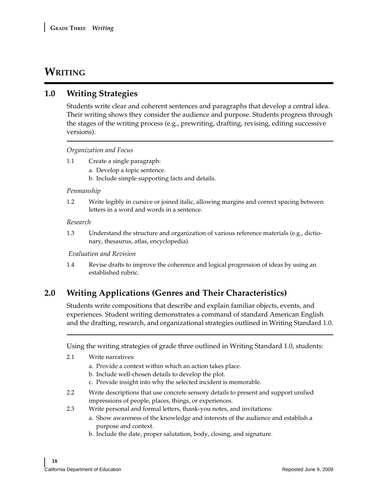## **WRITING**

### **1.0 Writing Strategies**

Students write clear and coherent sentences and paragraphs that develop a central idea. Their writing shows they consider the audience and purpose. Students progress through the stages of the writing process (e.g., prewriting, drafting, revising, editing successive versions).

#### *Organization and Focus*

- 1.1 Create a single paragraph:
	- a. Develop a topic sentence.
	- b. Include simple supporting facts and details.

#### *Penmanship*

1.2 Write legibly in cursive or joined italic, allowing margins and correct spacing between letters in a word and words in a sentence.

#### *Research*

1.3 Understand the structure and organization of various reference materials (e.g., dictionary, thesaurus, atlas, encyclopedia).

#### *Evaluation and Revision*

1.4 Revise drafts to improve the coherence and logical progression of ideas by using an established rubric.

### **2.0 Writing Applications (Genres and Their Characteristics)**

Students write compositions that describe and explain familiar objects, events, and experiences. Student writing demonstrates a command of standard American English and the drafting, research, and organizational strategies outlined in Writing Standard 1.0.

Using the writing strategies of grade three outlined in Writing Standard 1.0, students:

- 2.1 Write narratives:
	- a. Provide a context within which an action takes place.
	- b. Include well-chosen details to develop the plot.
	- c. Provide insight into why the selected incident is memorable.
- 2.2 Write descriptions that use concrete sensory details to present and support unified impressions of people, places, things, or experiences.
- 2.3 Write personal and formal letters, thank-you notes, and invitations:
	- a. Show awareness of the knowledge and interests of the audience and establish a purpose and context.
	- b. Include the date, proper salutation, body, closing, and signature.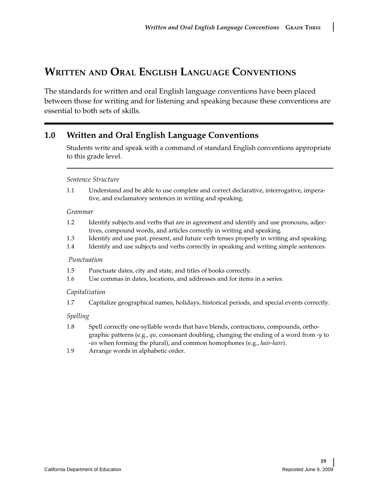## **WRITTEN AND ORAL ENGLISH LANGUAGE CONVENTIONS**

The standards for written and oral English language conventions have been placed between those for writing and for listening and speaking because these conventions are essential to both sets of skills.

### **1.0 Written and Oral English Language Conventions**

Students write and speak with a command of standard English conventions appropriate to this grade level.

#### *Sentence Structure*

1.1 Understand and be able to use complete and correct declarative, interrogative, imperative, and exclamatory sentences in writing and speaking.

#### *Grammar*

- 1.2 Identify subjects and verbs that are in agreement and identify and use pronouns, adjectives, compound words, and articles correctly in writing and speaking.
- 1.3 Identify and use past, present, and future verb tenses properly in writing and speaking.
- 1.4 Identify and use subjects and verbs correctly in speaking and writing simple sentences.

#### *Punctuation*

- 1.5 Punctuate dates, city and state, and titles of books correctly.
- 1.6 Use commas in dates, locations, and addresses and for items in a series.

#### *Capitalization*

1.7 Capitalize geographical names, holidays, historical periods, and special events correctly.

#### *Spelling*

- 1.8 Spell correctly one-syllable words that have blends, contractions, compounds, orthographic patterns (e.g., *qu*, consonant doubling, changing the ending of a word from -*y* to -*ies* when forming the plural), and common homophones (e.g., *hair-hare*).
- 1.9 Arrange words in alphabetic order.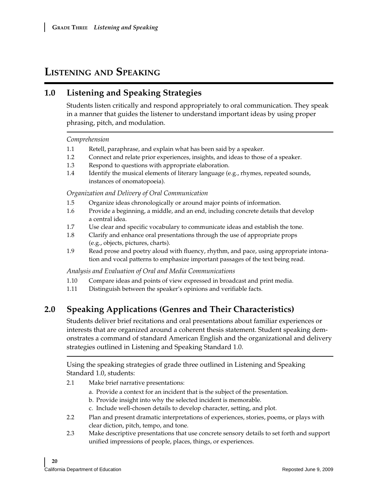## **LISTENING AND SPEAKING**

### **1.0 Listening and Speaking Strategies**

Students listen critically and respond appropriately to oral communication. They speak in a manner that guides the listener to understand important ideas by using proper phrasing, pitch, and modulation.

#### *Comprehension*

- 1.1 Retell, paraphrase, and explain what has been said by a speaker.
- 1.2 Connect and relate prior experiences, insights, and ideas to those of a speaker.
- 1.3 Respond to questions with appropriate elaboration.
- 1.4 Identify the musical elements of literary language (e.g., rhymes, repeated sounds, instances of onomatopoeia).

#### *Organization and Delivery of Oral Communication*

- 1.5 Organize ideas chronologically or around major points of information.
- 1.6 Provide a beginning, a middle, and an end, including concrete details that develop a central idea.
- 1.7 Use clear and specific vocabulary to communicate ideas and establish the tone.
- 1.8 Clarify and enhance oral presentations through the use of appropriate props (e.g., objects, pictures, charts).
- 1.9 Read prose and poetry aloud with fluency, rhythm, and pace, using appropriate intonation and vocal patterns to emphasize important passages of the text being read.

*Analysis and Evaluation of Oral and Media Communications* 

- 1.10 Compare ideas and points of view expressed in broadcast and print media.
- 1.11 Distinguish between the speaker's opinions and verifiable facts.

### **2.0 Speaking Applications (Genres and Their Characteristics)**

Students deliver brief recitations and oral presentations about familiar experiences or interests that are organized around a coherent thesis statement. Student speaking demonstrates a command of standard American English and the organizational and delivery strategies outlined in Listening and Speaking Standard 1.0.

Using the speaking strategies of grade three outlined in Listening and Speaking Standard 1.0, students:

- 2.1 Make brief narrative presentations:
	- a. Provide a context for an incident that is the subject of the presentation.
	- b. Provide insight into why the selected incident is memorable.
	- c. Include well-chosen details to develop character, setting, and plot.
- 2.2 Plan and present dramatic interpretations of experiences, stories, poems, or plays with clear diction, pitch, tempo, and tone.
- 2.3 Make descriptive presentations that use concrete sensory details to set forth and support unified impressions of people, places, things, or experiences.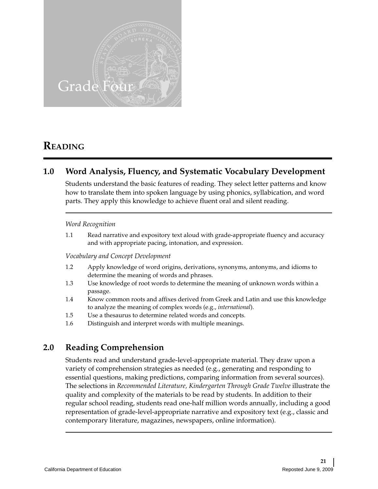

## **READING**

### **1.0 Word Analysis, Fluency, and Systematic Vocabulary Development**

Students understand the basic features of reading. They select letter patterns and know how to translate them into spoken language by using phonics, syllabication, and word parts. They apply this knowledge to achieve fluent oral and silent reading.

#### *Word Recognition*

1.1 Read narrative and expository text aloud with grade-appropriate fluency and accuracy and with appropriate pacing, intonation, and expression.

*Vocabulary and Concept Development* 

- 1.2 Apply knowledge of word origins, derivations, synonyms, antonyms, and idioms to determine the meaning of words and phrases.
- 1.3 Use knowledge of root words to determine the meaning of unknown words within a passage.
- 1.4 Know common roots and affixes derived from Greek and Latin and use this knowledge to analyze the meaning of complex words (e.g., *international*).
- 1.5 Use a thesaurus to determine related words and concepts.
- 1.6 Distinguish and interpret words with multiple meanings.

### **2.0 Reading Comprehension**

Students read and understand grade-level-appropriate material. They draw upon a variety of comprehension strategies as needed (e.g., generating and responding to essential questions, making predictions, comparing information from several sources). The selections in *Recommended Literature, Kindergarten Through Grade Twelve* illustrate the quality and complexity of the materials to be read by students. In addition to their regular school reading, students read one-half million words annually, including a good representation of grade-level-appropriate narrative and expository text (e.g., classic and contemporary literature, magazines, newspapers, online information).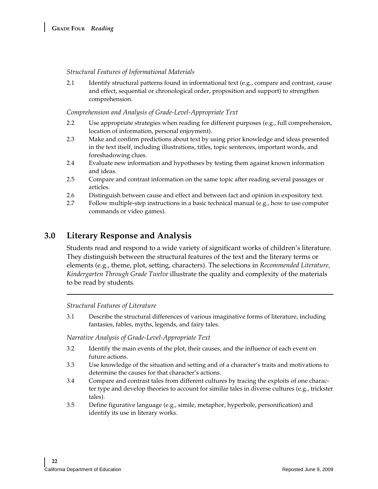#### *Structural Features of Informational Materials*

2.1 Identify structural patterns found in informational text (e.g., compare and contrast, cause and effect, sequential or chronological order, proposition and support) to strengthen comprehension.

#### *Comprehension and Analysis of Grade-Level-Appropriate Text*

- 2.2 Use appropriate strategies when reading for different purposes (e.g., full comprehension, location of information, personal enjoyment).
- 2.3 Make and confirm predictions about text by using prior knowledge and ideas presented in the text itself, including illustrations, titles, topic sentences, important words, and foreshadowing clues.
- 2.4 Evaluate new information and hypotheses by testing them against known information and ideas.
- 2.5 Compare and contrast information on the same topic after reading several passages or articles.
- 2.6 Distinguish between cause and effect and between fact and opinion in expository text.
- 2.7 Follow multiple-step instructions in a basic technical manual (e.g., how to use computer commands or video games).

### **3.0 Literary Response and Analysis**

Students read and respond to a wide variety of significant works of children's literature. They distinguish between the structural features of the text and the literary terms or elements (e.g., theme, plot, setting, characters). The selections in *Recommended Literature, Kindergarten Through Grade Twelve* illustrate the quality and complexity of the materials to be read by students.

*Structural Features of Literature* 

3.1 Describe the structural differences of various imaginative forms of literature, including fantasies, fables, myths, legends, and fairy tales.

*Narrative Analysis of Grade-Level-Appropriate Text* 

- 3.2 Identify the main events of the plot, their causes, and the influence of each event on future actions.
- 3.3 Use knowledge of the situation and setting and of a character's traits and motivations to determine the causes for that character's actions.
- 3.4 Compare and contrast tales from different cultures by tracing the exploits of one character type and develop theories to account for similar tales in diverse cultures (e.g., trickster tales).
- 3.5 Define figurative language (e.g., simile, metaphor, hyperbole, personification) and identify its use in literary works.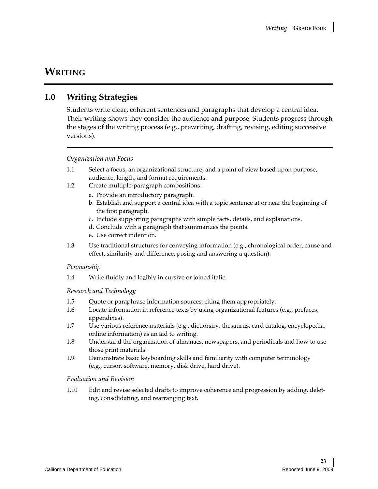## **WRITING**

### **1.0 Writing Strategies**

Students write clear, coherent sentences and paragraphs that develop a central idea. Their writing shows they consider the audience and purpose. Students progress through the stages of the writing process (e.g., prewriting, drafting, revising, editing successive versions).

#### *Organization and Focus*

- 1.1 Select a focus, an organizational structure, and a point of view based upon purpose, audience, length, and format requirements.
- 1.2 Create multiple-paragraph compositions:
	- a. Provide an introductory paragraph.
	- b. Establish and support a central idea with a topic sentence at or near the beginning of the first paragraph.
	- c. Include supporting paragraphs with simple facts, details, and explanations.
	- d. Conclude with a paragraph that summarizes the points.
	- e. Use correct indention.
- 1.3 Use traditional structures for conveying information (e.g., chronological order, cause and effect, similarity and difference, posing and answering a question).

#### *Penmanship*

1.4 Write fluidly and legibly in cursive or joined italic.

#### *Research and Technology*

- 1.5 Quote or paraphrase information sources, citing them appropriately.
- 1.6 Locate information in reference texts by using organizational features (e.g., prefaces, appendixes).
- 1.7 Use various reference materials (e.g., dictionary, thesaurus, card catalog, encyclopedia, online information) as an aid to writing.
- 1.8 Understand the organization of almanacs, newspapers, and periodicals and how to use those print materials.
- 1.9 Demonstrate basic keyboarding skills and familiarity with computer terminology (e.g., cursor, software, memory, disk drive, hard drive).

#### *Evaluation and Revision*

1.10 Edit and revise selected drafts to improve coherence and progression by adding, deleting, consolidating, and rearranging text.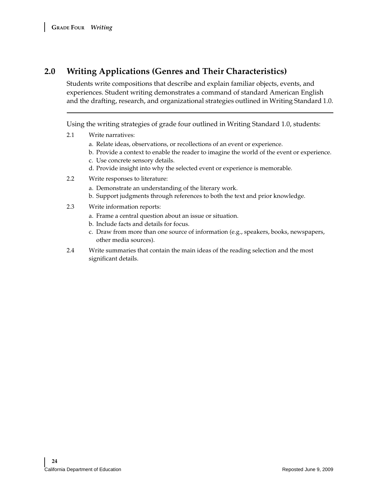### **2.0 Writing Applications (Genres and Their Characteristics)**

Students write compositions that describe and explain familiar objects, events, and experiences. Student writing demonstrates a command of standard American English and the drafting, research, and organizational strategies outlined in Writing Standard 1.0.

Using the writing strategies of grade four outlined in Writing Standard 1.0, students:

- 2.1 Write narratives:
	- a. Relate ideas, observations, or recollections of an event or experience.
	- b. Provide a context to enable the reader to imagine the world of the event or experience.
	- c. Use concrete sensory details.
	- d. Provide insight into why the selected event or experience is memorable.
- 2.2 Write responses to literature:
	- a. Demonstrate an understanding of the literary work.
	- b. Support judgments through references to both the text and prior knowledge.
- 2.3 Write information reports:
	- a. Frame a central question about an issue or situation.
	- b. Include facts and details for focus.
	- c. Draw from more than one source of information (e.g., speakers, books, newspapers, other media sources).
- 2.4 Write summaries that contain the main ideas of the reading selection and the most significant details.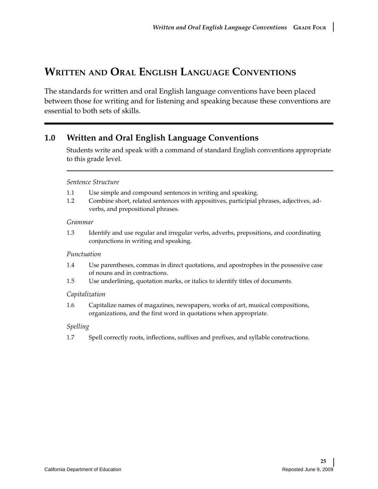## **WRITTEN AND ORAL ENGLISH LANGUAGE CONVENTIONS**

The standards for written and oral English language conventions have been placed between those for writing and for listening and speaking because these conventions are essential to both sets of skills.

### **1.0 Written and Oral English Language Conventions**

Students write and speak with a command of standard English conventions appropriate to this grade level.

#### *Sentence Structure*

- 1.1 Use simple and compound sentences in writing and speaking.
- 1.2 Combine short, related sentences with appositives, participial phrases, adjectives, adverbs, and prepositional phrases.

#### *Grammar*

1.3 Identify and use regular and irregular verbs, adverbs, prepositions, and coordinating conjunctions in writing and speaking.

#### *Punctuation*

- 1.4 Use parentheses, commas in direct quotations, and apostrophes in the possessive case of nouns and in contractions.
- 1.5 Use underlining, quotation marks, or italics to identify titles of documents.

#### *Capitalization*

1.6 Capitalize names of magazines, newspapers, works of art, musical compositions, organizations, and the first word in quotations when appropriate.

#### *Spelling*

1.7 Spell correctly roots, inflections, suffixes and prefixes, and syllable constructions.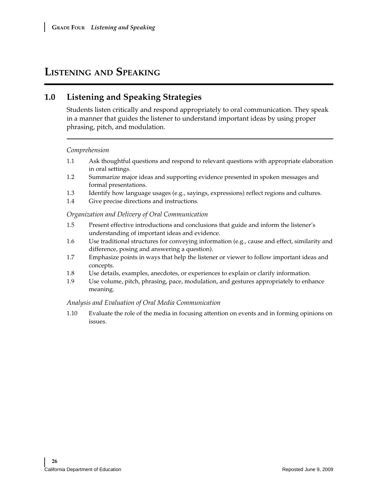## **LISTENING AND SPEAKING**

### **1.0 Listening and Speaking Strategies**

Students listen critically and respond appropriately to oral communication. They speak in a manner that guides the listener to understand important ideas by using proper phrasing, pitch, and modulation.

#### *Comprehension*

- 1.1 Ask thoughtful questions and respond to relevant questions with appropriate elaboration in oral settings.
- 1.2 Summarize major ideas and supporting evidence presented in spoken messages and formal presentations.
- 1.3 Identify how language usages (e.g., sayings, expressions) reflect regions and cultures.
- 1.4 Give precise directions and instructions.

#### *Organization and Delivery of Oral Communication*

- 1.5 Present effective introductions and conclusions that guide and inform the listener's understanding of important ideas and evidence.
- 1.6 Use traditional structures for conveying information (e.g., cause and effect, similarity and difference, posing and answering a question).
- 1.7 Emphasize points in ways that help the listener or viewer to follow important ideas and concepts.
- 1.8 Use details, examples, anecdotes, or experiences to explain or clarify information.
- 1.9 Use volume, pitch, phrasing, pace, modulation, and gestures appropriately to enhance meaning.

#### *Analysis and Evaluation of Oral Media Communication*

1.10 Evaluate the role of the media in focusing attention on events and in forming opinions on issues.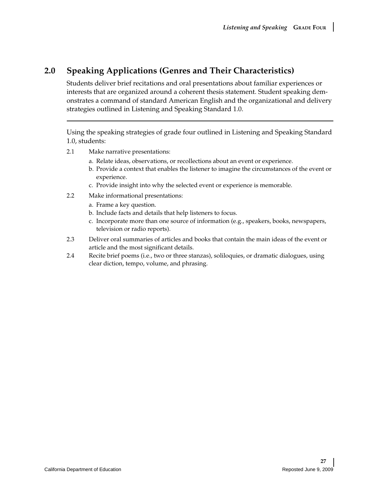### **2.0 Speaking Applications (Genres and Their Characteristics)**

Students deliver brief recitations and oral presentations about familiar experiences or interests that are organized around a coherent thesis statement. Student speaking demonstrates a command of standard American English and the organizational and delivery strategies outlined in Listening and Speaking Standard 1.0.

Using the speaking strategies of grade four outlined in Listening and Speaking Standard 1.0, students:

- 2.1 Make narrative presentations:
	- a. Relate ideas, observations, or recollections about an event or experience.
	- b. Provide a context that enables the listener to imagine the circumstances of the event or experience.
	- c. Provide insight into why the selected event or experience is memorable.
- 2.2 Make informational presentations:
	- a. Frame a key question.
	- b. Include facts and details that help listeners to focus.
	- c. Incorporate more than one source of information (e.g., speakers, books, newspapers, television or radio reports).
- 2.3 Deliver oral summaries of articles and books that contain the main ideas of the event or article and the most significant details.
- 2.4 Recite brief poems (i.e., two or three stanzas), soliloquies, or dramatic dialogues, using clear diction, tempo, volume, and phrasing.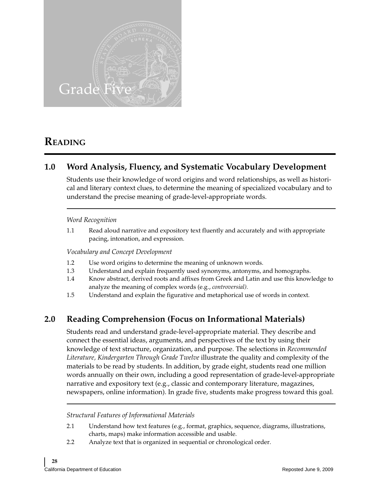

## **READING**

### **1.0 Word Analysis, Fluency, and Systematic Vocabulary Development**

Students use their knowledge of word origins and word relationships, as well as historical and literary context clues, to determine the meaning of specialized vocabulary and to understand the precise meaning of grade-level-appropriate words.

#### *Word Recognition*

1.1 Read aloud narrative and expository text fluently and accurately and with appropriate pacing, intonation, and expression.

#### *Vocabulary and Concept Development*

- 1.2 Use word origins to determine the meaning of unknown words.
- 1.3 Understand and explain frequently used synonyms, antonyms, and homographs.
- 1.4 Know abstract, derived roots and affixes from Greek and Latin and use this knowledge to analyze the meaning of complex words (e.g., *controversial).*
- 1.5 Understand and explain the figurative and metaphorical use of words in context.

### **2.0 Reading Comprehension (Focus on Informational Materials)**

Students read and understand grade-level-appropriate material. They describe and connect the essential ideas, arguments, and perspectives of the text by using their knowledge of text structure, organization, and purpose. The selections in *Recommended Literature, Kindergarten Through Grade Twelve* illustrate the quality and complexity of the materials to be read by students. In addition, by grade eight, students read one million words annually on their own, including a good representation of grade-level-appropriate narrative and expository text (e.g., classic and contemporary literature, magazines, newspapers, online information). In grade five, students make progress toward this goal.

#### *Structural Features of Informational Materials*

- 2.1 Understand how text features (e.g., format, graphics, sequence, diagrams, illustrations, charts, maps) make information accessible and usable.
- 2.2 Analyze text that is organized in sequential or chronological order.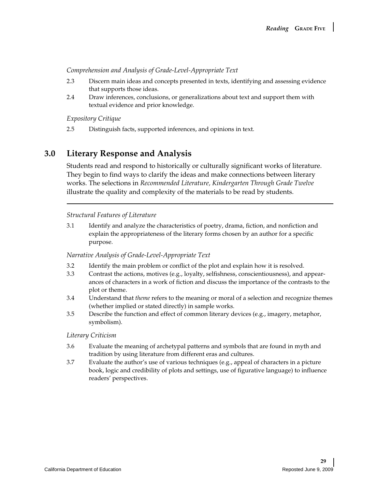### *Comprehension and Analysis of Grade-Level-Appropriate Text*

- 2.3 Discern main ideas and concepts presented in texts, identifying and assessing evidence that supports those ideas.
- 2.4 Draw inferences, conclusions, or generalizations about text and support them with textual evidence and prior knowledge.

### *Expository Critique*

2.5 Distinguish facts, supported inferences, and opinions in text.

### **3.0 Literary Response and Analysis**

Students read and respond to historically or culturally significant works of literature. They begin to find ways to clarify the ideas and make connections between literary works. The selections in *Recommended Literature, Kindergarten Through Grade Twelve*  illustrate the quality and complexity of the materials to be read by students.

### *Structural Features of Literature*

3.1 Identify and analyze the characteristics of poetry, drama, fiction, and nonfiction and explain the appropriateness of the literary forms chosen by an author for a specific purpose.

### *Narrative Analysis of Grade-Level-Appropriate Text*

- 3.2 Identify the main problem or conflict of the plot and explain how it is resolved.
- 3.3 Contrast the actions, motives (e.g., loyalty, selfishness, conscientiousness), and appearances of characters in a work of fiction and discuss the importance of the contrasts to the plot or theme.
- 3.4 Understand that *theme* refers to the meaning or moral of a selection and recognize themes (whether implied or stated directly) in sample works.
- 3.5 Describe the function and effect of common literary devices (e.g., imagery, metaphor, symbolism).

### *Literary Criticism*

- 3.6 Evaluate the meaning of archetypal patterns and symbols that are found in myth and tradition by using literature from different eras and cultures.
- 3.7 Evaluate the author's use of various techniques (e.g., appeal of characters in a picture book, logic and credibility of plots and settings, use of figurative language) to influence readers' perspectives.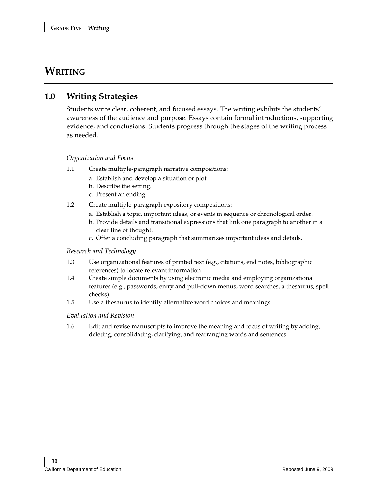## **WRITING**

### **1.0 Writing Strategies**

Students write clear, coherent, and focused essays. The writing exhibits the students' awareness of the audience and purpose. Essays contain formal introductions, supporting evidence, and conclusions. Students progress through the stages of the writing process as needed.

### *Organization and Focus*

- 1.1 Create multiple-paragraph narrative compositions:
	- a. Establish and develop a situation or plot.
	- b. Describe the setting.
	- c. Present an ending.
- 1.2 Create multiple-paragraph expository compositions:
	- a. Establish a topic, important ideas, or events in sequence or chronological order.
	- b. Provide details and transitional expressions that link one paragraph to another in a clear line of thought.
	- c. Offer a concluding paragraph that summarizes important ideas and details.

### *Research and Technology*

- 1.3 Use organizational features of printed text (e.g., citations, end notes, bibliographic references) to locate relevant information.
- 1.4 Create simple documents by using electronic media and employing organizational features (e.g., passwords, entry and pull-down menus, word searches, a thesaurus, spell checks).
- 1.5 Use a thesaurus to identify alternative word choices and meanings.

### *Evaluation and Revision*

1.6 Edit and revise manuscripts to improve the meaning and focus of writing by adding, deleting, consolidating, clarifying, and rearranging words and sentences.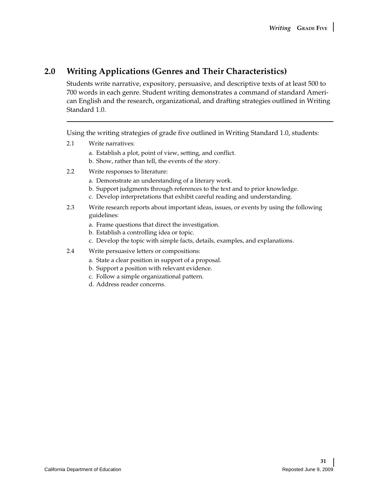### **2.0 Writing Applications (Genres and Their Characteristics)**

Students write narrative, expository, persuasive, and descriptive texts of at least 500 to 700 words in each genre. Student writing demonstrates a command of standard American English and the research, organizational, and drafting strategies outlined in Writing Standard 1.0.

Using the writing strategies of grade five outlined in Writing Standard 1.0, students:

- 2.1 Write narratives:
	- a. Establish a plot, point of view, setting, and conflict.
	- b. Show, rather than tell, the events of the story.
- 2.2 Write responses to literature:
	- a. Demonstrate an understanding of a literary work.
	- b. Support judgments through references to the text and to prior knowledge.
	- c. Develop interpretations that exhibit careful reading and understanding.
- 2.3 Write research reports about important ideas, issues, or events by using the following guidelines:
	- a. Frame questions that direct the investigation.
	- b. Establish a controlling idea or topic.
	- c. Develop the topic with simple facts, details, examples, and explanations.
- 2.4 Write persuasive letters or compositions:
	- a. State a clear position in support of a proposal.
	- b. Support a position with relevant evidence.
	- c. Follow a simple organizational pattern.
	- d. Address reader concerns.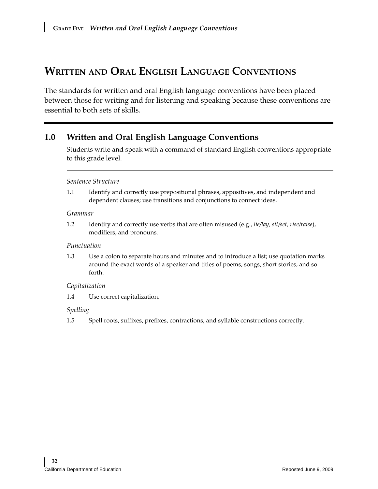# **WRITTEN AND ORAL ENGLISH LANGUAGE CONVENTIONS**

The standards for written and oral English language conventions have been placed between those for writing and for listening and speaking because these conventions are essential to both sets of skills.

### **1.0 Written and Oral English Language Conventions**

Students write and speak with a command of standard English conventions appropriate to this grade level.

### *Sentence Structure*

1.1 Identify and correctly use prepositional phrases, appositives, and independent and dependent clauses; use transitions and conjunctions to connect ideas.

### *Grammar*

1.2 Identify and correctly use verbs that are often misused (e.g., *lie/lay, sit/set, rise/raise*), modifiers, and pronouns.

### *Punctuation*

1.3 Use a colon to separate hours and minutes and to introduce a list; use quotation marks around the exact words of a speaker and titles of poems, songs, short stories, and so forth.

### *Capitalization*

1.4 Use correct capitalization.

### *Spelling*

1.5 Spell roots, suffixes, prefixes, contractions, and syllable constructions correctly.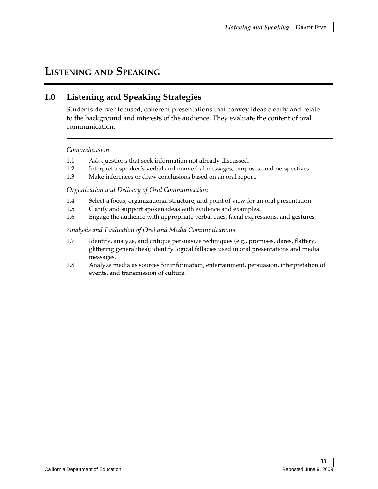# **LISTENING AND SPEAKING**

### **1.0 Listening and Speaking Strategies**

Students deliver focused, coherent presentations that convey ideas clearly and relate to the background and interests of the audience. They evaluate the content of oral communication.

### *Comprehension*

- 1.1 Ask questions that seek information not already discussed.
- 1.2 Interpret a speaker's verbal and nonverbal messages, purposes, and perspectives.
- 1.3 Make inferences or draw conclusions based on an oral report.

### *Organization and Delivery of Oral Communication*

- 1.4 Select a focus, organizational structure, and point of view for an oral presentation.
- 1.5 Clarify and support spoken ideas with evidence and examples.
- 1.6 Engage the audience with appropriate verbal cues, facial expressions, and gestures.

### *Analysis and Evaluation of Oral and Media Communications*

- 1.7 Identify, analyze, and critique persuasive techniques (e.g., promises, dares, flattery, glittering generalities); identify logical fallacies used in oral presentations and media messages.
- 1.8 Analyze media as sources for information, entertainment, persuasion, interpretation of events, and transmission of culture.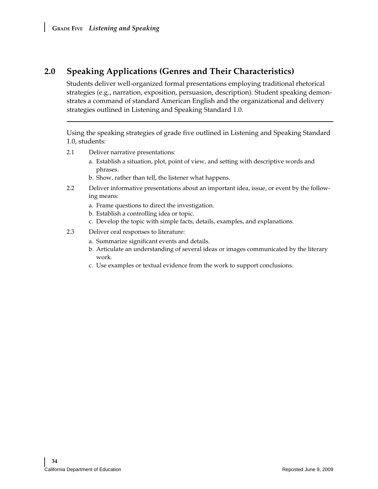### **2.0 Speaking Applications (Genres and Their Characteristics)**

Students deliver well-organized formal presentations employing traditional rhetorical strategies (e.g., narration, exposition, persuasion, description). Student speaking demonstrates a command of standard American English and the organizational and delivery strategies outlined in Listening and Speaking Standard 1.0.

Using the speaking strategies of grade five outlined in Listening and Speaking Standard 1.0, students:

- 2.1 Deliver narrative presentations:
	- a. Establish a situation, plot, point of view, and setting with descriptive words and phrases.
	- b. Show, rather than tell, the listener what happens.
- 2.2 Deliver informative presentations about an important idea, issue, or event by the following means:
	- a. Frame questions to direct the investigation.
	- b. Establish a controlling idea or topic.
	- c. Develop the topic with simple facts, details, examples, and explanations.
- 2.3 Deliver oral responses to literature:
	- a. Summarize significant events and details.
	- b. Articulate an understanding of several ideas or images communicated by the literary work.
	- c. Use examples or textual evidence from the work to support conclusions.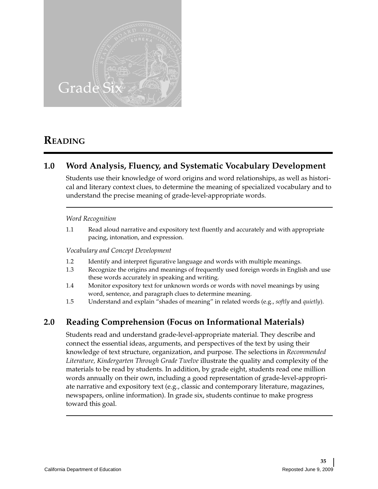

# **READING**

### **1.0 Word Analysis, Fluency, and Systematic Vocabulary Development**

Students use their knowledge of word origins and word relationships, as well as historical and literary context clues, to determine the meaning of specialized vocabulary and to understand the precise meaning of grade-level-appropriate words.

### *Word Recognition*

1.1 Read aloud narrative and expository text fluently and accurately and with appropriate pacing, intonation, and expression.

### *Vocabulary and Concept Development*

- 1.2 Identify and interpret figurative language and words with multiple meanings.
- 1.3 Recognize the origins and meanings of frequently used foreign words in English and use these words accurately in speaking and writing.
- 1.4 Monitor expository text for unknown words or words with novel meanings by using word, sentence, and paragraph clues to determine meaning.
- 1.5 Understand and explain "shades of meaning" in related words (e.g., *softly* and *quietly*).

### **2.0 Reading Comprehension (Focus on Informational Materials)**

Students read and understand grade-level-appropriate material. They describe and connect the essential ideas, arguments, and perspectives of the text by using their knowledge of text structure, organization, and purpose. The selections in *Recommended Literature, Kindergarten Through Grade Twelve* illustrate the quality and complexity of the materials to be read by students. In addition, by grade eight, students read one million words annually on their own, including a good representation of grade-level-appropriate narrative and expository text (e.g., classic and contemporary literature, magazines, newspapers, online information). In grade six, students continue to make progress toward this goal.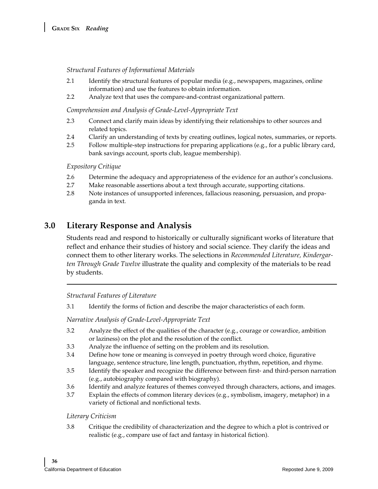#### *Structural Features of Informational Materials*

- 2.1 Identify the structural features of popular media (e.g., newspapers, magazines, online information) and use the features to obtain information.
- 2.2 Analyze text that uses the compare-and-contrast organizational pattern.

#### *Comprehension and Analysis of Grade-Level-Appropriate Text*

- 2.3 Connect and clarify main ideas by identifying their relationships to other sources and related topics.
- 2.4 Clarify an understanding of texts by creating outlines, logical notes, summaries, or reports.
- 2.5 Follow multiple-step instructions for preparing applications (e.g., for a public library card, bank savings account, sports club, league membership).

#### *Expository Critique*

- 2.6 Determine the adequacy and appropriateness of the evidence for an author's conclusions.
- 2.7 Make reasonable assertions about a text through accurate, supporting citations.
- 2.8 Note instances of unsupported inferences, fallacious reasoning, persuasion, and propaganda in text.

### **3.0 Literary Response and Analysis**

Students read and respond to historically or culturally significant works of literature that reflect and enhance their studies of history and social science. They clarify the ideas and connect them to other literary works. The selections in *Recommended Literature, Kindergarten Through Grade Twelve* illustrate the quality and complexity of the materials to be read by students.

#### *Structural Features of Literature*

3.1 Identify the forms of fiction and describe the major characteristics of each form.

### *Narrative Analysis of Grade-Level-Appropriate Text*

- 3.2 Analyze the effect of the qualities of the character (e.g., courage or cowardice, ambition or laziness) on the plot and the resolution of the conflict.
- 3.3 Analyze the influence of setting on the problem and its resolution.
- 3.4 Define how tone or meaning is conveyed in poetry through word choice, figurative language, sentence structure, line length, punctuation, rhythm, repetition, and rhyme.
- 3.5 Identify the speaker and recognize the difference between first- and third-person narration (e.g., autobiography compared with biography).
- 3.6 Identify and analyze features of themes conveyed through characters, actions, and images.
- 3.7 Explain the effects of common literary devices (e.g., symbolism, imagery, metaphor) in a variety of fictional and nonfictional texts.

#### *Literary Criticism*

3.8 Critique the credibility of characterization and the degree to which a plot is contrived or realistic (e.g., compare use of fact and fantasy in historical fiction).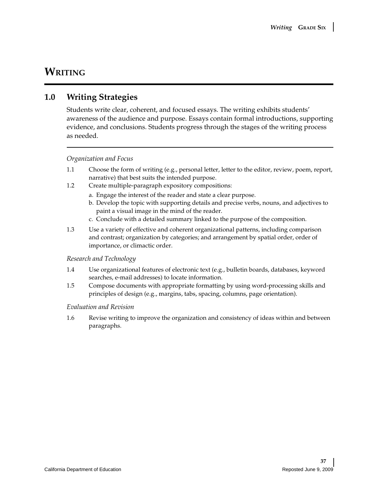## **WRITING**

### **1.0 Writing Strategies**

Students write clear, coherent, and focused essays. The writing exhibits students' awareness of the audience and purpose. Essays contain formal introductions, supporting evidence, and conclusions. Students progress through the stages of the writing process as needed.

### *Organization and Focus*

- 1.1 Choose the form of writing (e.g., personal letter, letter to the editor, review, poem, report, narrative) that best suits the intended purpose.
- 1.2 Create multiple-paragraph expository compositions:
	- a. Engage the interest of the reader and state a clear purpose.
	- b. Develop the topic with supporting details and precise verbs, nouns, and adjectives to paint a visual image in the mind of the reader.
	- c. Conclude with a detailed summary linked to the purpose of the composition.
- 1.3 Use a variety of effective and coherent organizational patterns, including comparison and contrast; organization by categories; and arrangement by spatial order, order of importance, or climactic order.

### *Research and Technology*

- 1.4 Use organizational features of electronic text (e.g., bulletin boards, databases, keyword searches, e-mail addresses) to locate information.
- 1.5 Compose documents with appropriate formatting by using word-processing skills and principles of design (e.g., margins, tabs, spacing, columns, page orientation).

### *Evaluation and Revision*

1.6 Revise writing to improve the organization and consistency of ideas within and between paragraphs.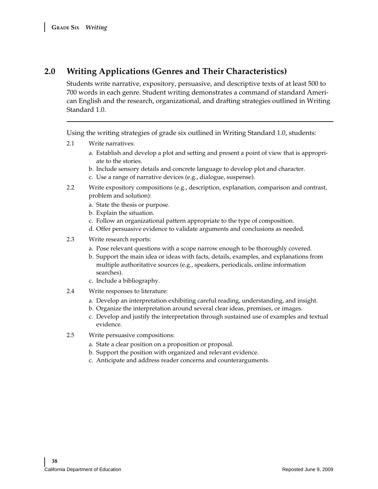### **2.0 Writing Applications (Genres and Their Characteristics)**

Students write narrative, expository, persuasive, and descriptive texts of at least 500 to 700 words in each genre. Student writing demonstrates a command of standard American English and the research, organizational, and drafting strategies outlined in Writing Standard 1.0.

Using the writing strategies of grade six outlined in Writing Standard 1.0, students:

- 2.1 Write narratives:
	- a. Establish and develop a plot and setting and present a point of view that is appropriate to the stories.
	- b. Include sensory details and concrete language to develop plot and character.
	- c. Use a range of narrative devices (e.g., dialogue, suspense).
- 2.2 Write expository compositions (e.g., description, explanation, comparison and contrast, problem and solution):
	- a. State the thesis or purpose.
	- b. Explain the situation.
	- c. Follow an organizational pattern appropriate to the type of composition.
	- d. Offer persuasive evidence to validate arguments and conclusions as needed.
- 2.3 Write research reports:
	- a. Pose relevant questions with a scope narrow enough to be thoroughly covered.
	- b. Support the main idea or ideas with facts, details, examples, and explanations from multiple authoritative sources (e.g., speakers, periodicals, online information searches).
	- c. Include a bibliography.
- 2.4 Write responses to literature:
	- a. Develop an interpretation exhibiting careful reading, understanding, and insight.
	- b. Organize the interpretation around several clear ideas, premises, or images.
	- c. Develop and justify the interpretation through sustained use of examples and textual evidence.
- 2.5 Write persuasive compositions:
	- a. State a clear position on a proposition or proposal.
	- b. Support the position with organized and relevant evidence.
	- c. Anticipate and address reader concerns and counterarguments.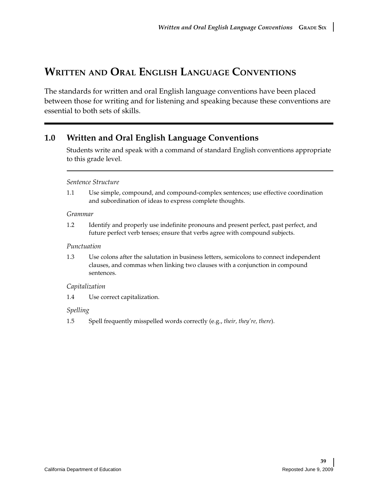# **WRITTEN AND ORAL ENGLISH LANGUAGE CONVENTIONS**

The standards for written and oral English language conventions have been placed between those for writing and for listening and speaking because these conventions are essential to both sets of skills.

### **1.0 Written and Oral English Language Conventions**

Students write and speak with a command of standard English conventions appropriate to this grade level.

### *Sentence Structure*

1.1 Use simple, compound, and compound-complex sentences; use effective coordination and subordination of ideas to express complete thoughts.

### *Grammar*

1.2 Identify and properly use indefinite pronouns and present perfect, past perfect, and future perfect verb tenses; ensure that verbs agree with compound subjects.

### *Punctuation*

1.3 Use colons after the salutation in business letters, semicolons to connect independent clauses, and commas when linking two clauses with a conjunction in compound sentences.

### *Capitalization*

1.4 Use correct capitalization.

### *Spelling*

1.5 Spell frequently misspelled words correctly (e.g., *their, they're, there*).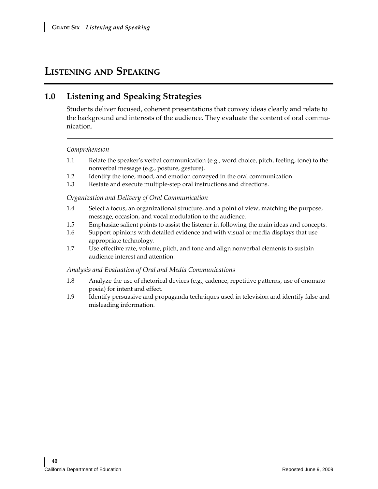## **LISTENING AND SPEAKING**

### **1.0 Listening and Speaking Strategies**

Students deliver focused, coherent presentations that convey ideas clearly and relate to the background and interests of the audience. They evaluate the content of oral communication.

#### *Comprehension*

- 1.1 Relate the speaker's verbal communication (e.g., word choice, pitch, feeling, tone) to the nonverbal message (e.g., posture, gesture).
- 1.2 Identify the tone, mood, and emotion conveyed in the oral communication.
- 1.3 Restate and execute multiple-step oral instructions and directions.

#### *Organization and Delivery of Oral Communication*

- 1.4 Select a focus, an organizational structure, and a point of view, matching the purpose, message, occasion, and vocal modulation to the audience.
- 1.5 Emphasize salient points to assist the listener in following the main ideas and concepts.
- 1.6 Support opinions with detailed evidence and with visual or media displays that use appropriate technology.
- 1.7 Use effective rate, volume, pitch, and tone and align nonverbal elements to sustain audience interest and attention.

#### *Analysis and Evaluation of Oral and Media Communications*

- 1.8 Analyze the use of rhetorical devices (e.g., cadence, repetitive patterns, use of onomatopoeia) for intent and effect.
- 1.9 Identify persuasive and propaganda techniques used in television and identify false and misleading information.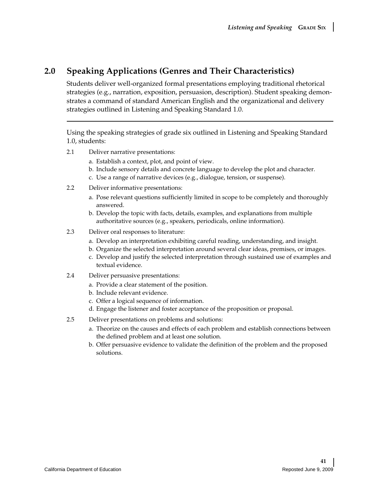### **2.0 Speaking Applications (Genres and Their Characteristics)**

Students deliver well-organized formal presentations employing traditional rhetorical strategies (e.g., narration, exposition, persuasion, description). Student speaking demonstrates a command of standard American English and the organizational and delivery strategies outlined in Listening and Speaking Standard 1.0.

Using the speaking strategies of grade six outlined in Listening and Speaking Standard 1.0, students:

- 2.1 Deliver narrative presentations:
	- a. Establish a context, plot, and point of view.
	- b. Include sensory details and concrete language to develop the plot and character.
	- c. Use a range of narrative devices (e.g., dialogue, tension, or suspense).
- 2.2 Deliver informative presentations:
	- a. Pose relevant questions sufficiently limited in scope to be completely and thoroughly answered.
	- b. Develop the topic with facts, details, examples, and explanations from multiple authoritative sources (e.g., speakers, periodicals, online information).
- 2.3 Deliver oral responses to literature:
	- a. Develop an interpretation exhibiting careful reading, understanding, and insight.
	- b. Organize the selected interpretation around several clear ideas, premises, or images.
	- c. Develop and justify the selected interpretation through sustained use of examples and textual evidence.
- 2.4 Deliver persuasive presentations:
	- a. Provide a clear statement of the position.
	- b. Include relevant evidence.
	- c. Offer a logical sequence of information.
	- d. Engage the listener and foster acceptance of the proposition or proposal.
- 2.5 Deliver presentations on problems and solutions:
	- a. Theorize on the causes and effects of each problem and establish connections between the defined problem and at least one solution.
	- b. Offer persuasive evidence to validate the definition of the problem and the proposed solutions.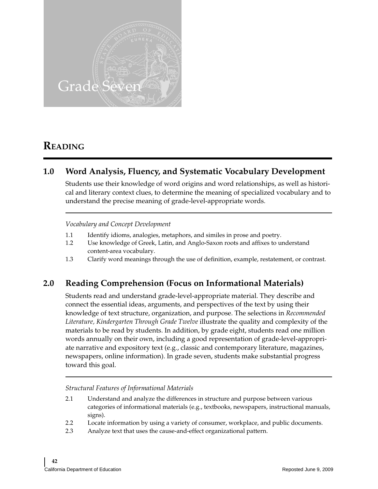

# **READING**

### **1.0 Word Analysis, Fluency, and Systematic Vocabulary Development**

Students use their knowledge of word origins and word relationships, as well as historical and literary context clues, to determine the meaning of specialized vocabulary and to understand the precise meaning of grade-level-appropriate words.

*Vocabulary and Concept Development* 

- 1.1 Identify idioms, analogies, metaphors, and similes in prose and poetry.
- 1.2 Use knowledge of Greek, Latin, and Anglo-Saxon roots and affixes to understand content-area vocabulary.
- 1.3 Clarify word meanings through the use of definition, example, restatement, or contrast.

### **2.0 Reading Comprehension (Focus on Informational Materials)**

Students read and understand grade-level-appropriate material. They describe and connect the essential ideas, arguments, and perspectives of the text by using their knowledge of text structure, organization, and purpose. The selections in *Recommended Literature, Kindergarten Through Grade Twelve* illustrate the quality and complexity of the materials to be read by students. In addition, by grade eight, students read one million words annually on their own, including a good representation of grade-level-appropriate narrative and expository text (e.g., classic and contemporary literature, magazines, newspapers, online information). In grade seven, students make substantial progress toward this goal.

*Structural Features of Informational Materials* 

- 2.1 Understand and analyze the differences in structure and purpose between various categories of informational materials (e.g., textbooks, newspapers, instructional manuals, signs).
- 2.2 Locate information by using a variety of consumer, workplace, and public documents.
- 2.3 Analyze text that uses the cause-and-effect organizational pattern.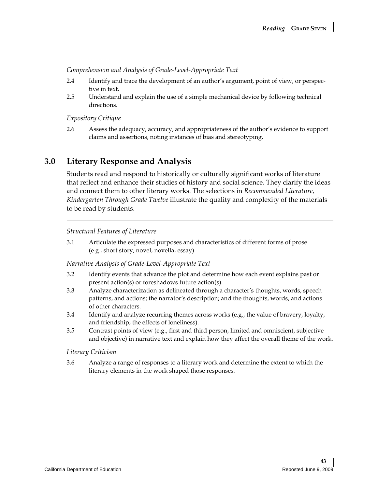*Comprehension and Analysis of Grade-Level-Appropriate Text* 

- 2.4 Identify and trace the development of an author's argument, point of view, or perspective in text.
- 2.5 Understand and explain the use of a simple mechanical device by following technical directions.

#### *Expository Critique*

2.6 Assess the adequacy, accuracy, and appropriateness of the author's evidence to support claims and assertions, noting instances of bias and stereotyping.

### **3.0 Literary Response and Analysis**

Students read and respond to historically or culturally significant works of literature that reflect and enhance their studies of history and social science. They clarify the ideas and connect them to other literary works. The selections in *Recommended Literature, Kindergarten Through Grade Twelve* illustrate the quality and complexity of the materials to be read by students.

### *Structural Features of Literature*

3.1 Articulate the expressed purposes and characteristics of different forms of prose (e.g., short story, novel, novella, essay).

### *Narrative Analysis of Grade-Level-Appropriate Text*

- 3.2 Identify events that advance the plot and determine how each event explains past or present action(s) or foreshadows future action(s).
- 3.3 Analyze characterization as delineated through a character's thoughts, words, speech patterns, and actions; the narrator's description; and the thoughts, words, and actions of other characters.
- 3.4 Identify and analyze recurring themes across works (e.g., the value of bravery, loyalty, and friendship; the effects of loneliness).
- 3.5 Contrast points of view (e.g., first and third person, limited and omniscient, subjective and objective) in narrative text and explain how they affect the overall theme of the work.

### *Literary Criticism*

3.6 Analyze a range of responses to a literary work and determine the extent to which the literary elements in the work shaped those responses.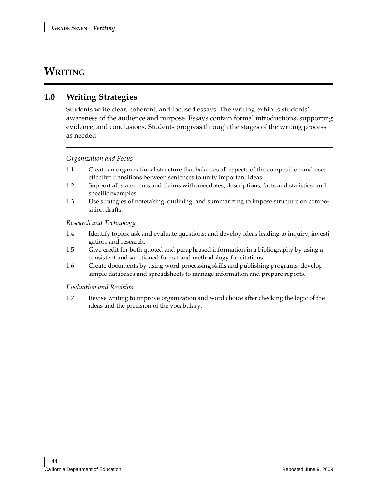## **WRITING**

### **1.0 Writing Strategies**

Students write clear, coherent, and focused essays. The writing exhibits students' awareness of the audience and purpose. Essays contain formal introductions, supporting evidence, and conclusions. Students progress through the stages of the writing process as needed.

### *Organization and Focus*

- 1.1 Create an organizational structure that balances all aspects of the composition and uses effective transitions between sentences to unify important ideas.
- 1.2 Support all statements and claims with anecdotes, descriptions, facts and statistics, and specific examples.
- 1.3 Use strategies of notetaking, outlining, and summarizing to impose structure on composition drafts.

### *Research and Technology*

- 1.4 Identify topics; ask and evaluate questions; and develop ideas leading to inquiry, investigation, and research.
- 1.5 Give credit for both quoted and paraphrased information in a bibliography by using a consistent and sanctioned format and methodology for citations.
- 1.6 Create documents by using word-processing skills and publishing programs; develop simple databases and spreadsheets to manage information and prepare reports.

### *Evaluation and Revision*

1.7 Revise writing to improve organization and word choice after checking the logic of the ideas and the precision of the vocabulary.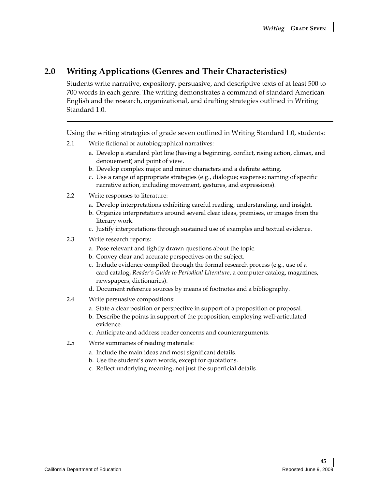### **2.0 Writing Applications (Genres and Their Characteristics)**

Students write narrative, expository, persuasive, and descriptive texts of at least 500 to 700 words in each genre. The writing demonstrates a command of standard American English and the research, organizational, and drafting strategies outlined in Writing Standard 1.0.

Using the writing strategies of grade seven outlined in Writing Standard 1.0, students:

- 2.1 Write fictional or autobiographical narratives:
	- a. Develop a standard plot line (having a beginning, conflict, rising action, climax, and denouement) and point of view.
	- b. Develop complex major and minor characters and a definite setting.
	- c. Use a range of appropriate strategies (e.g., dialogue; suspense; naming of specific narrative action, including movement, gestures, and expressions).
- 2.2 Write responses to literature:
	- a. Develop interpretations exhibiting careful reading, understanding, and insight.
	- b. Organize interpretations around several clear ideas, premises, or images from the literary work.
	- c. Justify interpretations through sustained use of examples and textual evidence.
- 2.3 Write research reports:
	- a. Pose relevant and tightly drawn questions about the topic.
	- b. Convey clear and accurate perspectives on the subject.
	- c. Include evidence compiled through the formal research process (e.g., use of a card catalog, *Reader's Guide to Periodical Literature*, a computer catalog, magazines, newspapers, dictionaries).
	- d. Document reference sources by means of footnotes and a bibliography.
- 2.4 Write persuasive compositions:
	- a. State a clear position or perspective in support of a proposition or proposal.
	- b. Describe the points in support of the proposition, employing well-articulated evidence.
	- c. Anticipate and address reader concerns and counterarguments.
- 2.5 Write summaries of reading materials:
	- a. Include the main ideas and most significant details.
	- b. Use the student's own words, except for quotations.
	- c. Reflect underlying meaning, not just the superficial details.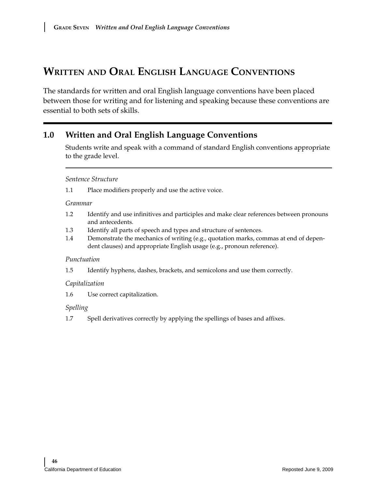# **WRITTEN AND ORAL ENGLISH LANGUAGE CONVENTIONS**

The standards for written and oral English language conventions have been placed between those for writing and for listening and speaking because these conventions are essential to both sets of skills.

### **1.0 Written and Oral English Language Conventions**

Students write and speak with a command of standard English conventions appropriate to the grade level.

### *Sentence Structure*

1.1 Place modifiers properly and use the active voice.

### *Grammar*

- 1.2 Identify and use infinitives and participles and make clear references between pronouns and antecedents.
- 1.3 Identify all parts of speech and types and structure of sentences.
- 1.4 Demonstrate the mechanics of writing (e.g., quotation marks, commas at end of dependent clauses) and appropriate English usage (e.g., pronoun reference).

### *Punctuation*

1.5 Identify hyphens, dashes, brackets, and semicolons and use them correctly.

### *Capitalization*

1.6 Use correct capitalization.

### *Spelling*

1.7 Spell derivatives correctly by applying the spellings of bases and affixes.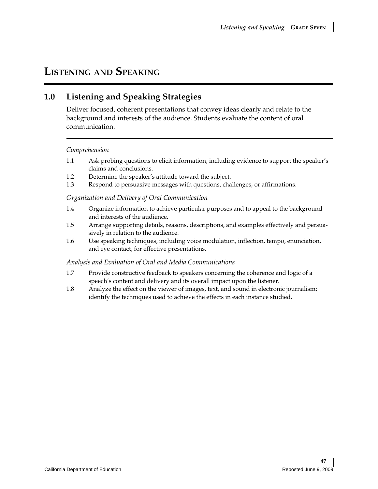## **LISTENING AND SPEAKING**

### **1.0 Listening and Speaking Strategies**

Deliver focused, coherent presentations that convey ideas clearly and relate to the background and interests of the audience. Students evaluate the content of oral communication.

### *Comprehension*

- 1.1 Ask probing questions to elicit information, including evidence to support the speaker's claims and conclusions.
- 1.2 Determine the speaker's attitude toward the subject.
- 1.3 Respond to persuasive messages with questions, challenges, or affirmations.

### *Organization and Delivery of Oral Communication*

- 1.4 Organize information to achieve particular purposes and to appeal to the background and interests of the audience.
- 1.5 Arrange supporting details, reasons, descriptions, and examples effectively and persuasively in relation to the audience.
- 1.6 Use speaking techniques, including voice modulation, inflection, tempo, enunciation, and eye contact, for effective presentations.

### *Analysis and Evaluation of Oral and Media Communications*

- 1.7 Provide constructive feedback to speakers concerning the coherence and logic of a speech's content and delivery and its overall impact upon the listener.
- 1.8 Analyze the effect on the viewer of images, text, and sound in electronic journalism; identify the techniques used to achieve the effects in each instance studied.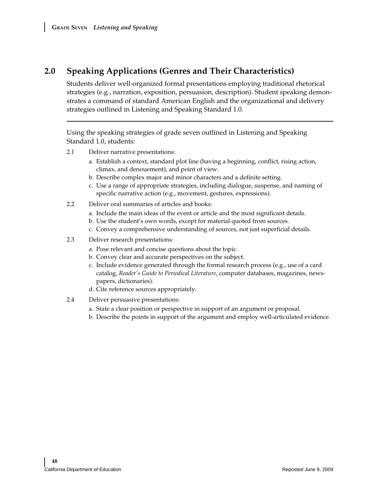### **2.0 Speaking Applications (Genres and Their Characteristics)**

Students deliver well-organized formal presentations employing traditional rhetorical strategies (e.g., narration, exposition, persuasion, description). Student speaking demonstrates a command of standard American English and the organizational and delivery strategies outlined in Listening and Speaking Standard 1.0.

Using the speaking strategies of grade seven outlined in Listening and Speaking Standard 1.0, students:

- 2.1 Deliver narrative presentations:
	- a. Establish a context, standard plot line (having a beginning, conflict, rising action, climax, and denouement), and point of view.
	- b. Describe complex major and minor characters and a definite setting.
	- c. Use a range of appropriate strategies, including dialogue, suspense, and naming of specific narrative action (e.g., movement, gestures, expressions).
- 2.2 Deliver oral summaries of articles and books:
	- a. Include the main ideas of the event or article and the most significant details.
	- b. Use the student's own words, except for material quoted from sources.
	- c. Convey a comprehensive understanding of sources, not just superficial details.
- 2.3 Deliver research presentations:
	- a. Pose relevant and concise questions about the topic.
	- b. Convey clear and accurate perspectives on the subject.
	- c. Include evidence generated through the formal research process (e.g., use of a card catalog, *Reader's Guide to Periodical Literature*, computer databases, magazines, newspapers, dictionaries).
	- d. Cite reference sources appropriately.
- 2.4 Deliver persuasive presentations:
	- a. State a clear position or perspective in support of an argument or proposal.
	- b. Describe the points in support of the argument and employ well-articulated evidence.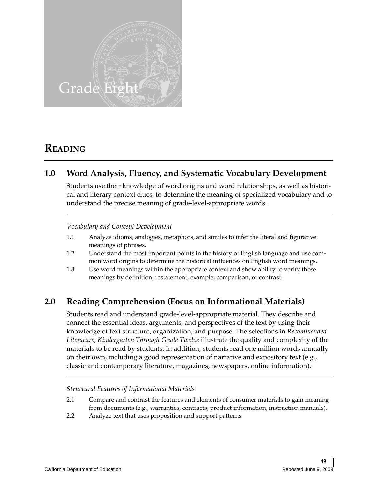

# **READING**

### **1.0 Word Analysis, Fluency, and Systematic Vocabulary Development**

Students use their knowledge of word origins and word relationships, as well as historical and literary context clues, to determine the meaning of specialized vocabulary and to understand the precise meaning of grade-level-appropriate words.

### *Vocabulary and Concept Development*

- 1.1 Analyze idioms, analogies, metaphors, and similes to infer the literal and figurative meanings of phrases.
- 1.2 Understand the most important points in the history of English language and use common word origins to determine the historical influences on English word meanings.
- 1.3 Use word meanings within the appropriate context and show ability to verify those meanings by definition, restatement, example, comparison, or contrast.

### **2.0 Reading Comprehension (Focus on Informational Materials)**

Students read and understand grade-level-appropriate material. They describe and connect the essential ideas, arguments, and perspectives of the text by using their knowledge of text structure, organization, and purpose. The selections in *Recommended Literature, Kindergarten Through Grade Twelve* illustrate the quality and complexity of the materials to be read by students. In addition, students read one million words annually on their own, including a good representation of narrative and expository text (e.g., classic and contemporary literature, magazines, newspapers, online information).

### *Structural Features of Informational Materials*

- 2.1 Compare and contrast the features and elements of consumer materials to gain meaning from documents (e.g., warranties, contracts, product information, instruction manuals).
- 2.2 Analyze text that uses proposition and support patterns.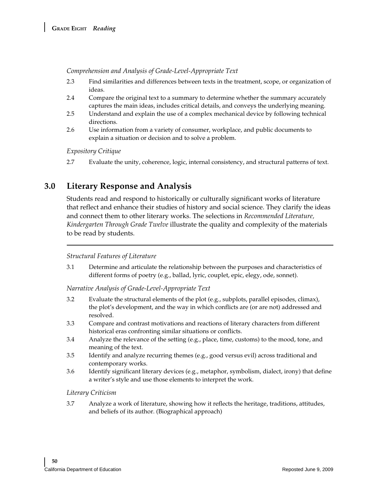*Comprehension and Analysis of Grade-Level-Appropriate Text* 

- 2.3 Find similarities and differences between texts in the treatment, scope, or organization of ideas.
- 2.4 Compare the original text to a summary to determine whether the summary accurately captures the main ideas, includes critical details, and conveys the underlying meaning.
- 2.5 Understand and explain the use of a complex mechanical device by following technical directions.
- 2.6 Use information from a variety of consumer, workplace, and public documents to explain a situation or decision and to solve a problem.

*Expository Critique* 

2.7 Evaluate the unity, coherence, logic, internal consistency, and structural patterns of text.

### **3.0 Literary Response and Analysis**

Students read and respond to historically or culturally significant works of literature that reflect and enhance their studies of history and social science. They clarify the ideas and connect them to other literary works. The selections in *Recommended Literature, Kindergarten Through Grade Twelve* illustrate the quality and complexity of the materials to be read by students.

#### *Structural Features of Literature*

3.1 Determine and articulate the relationship between the purposes and characteristics of different forms of poetry (e.g., ballad, lyric, couplet, epic, elegy, ode, sonnet).

*Narrative Analysis of Grade-Level-Appropriate Text* 

- 3.2 Evaluate the structural elements of the plot (e.g., subplots, parallel episodes, climax), the plot's development, and the way in which conflicts are (or are not) addressed and resolved.
- 3.3 Compare and contrast motivations and reactions of literary characters from different historical eras confronting similar situations or conflicts.
- 3.4 Analyze the relevance of the setting (e.g., place, time, customs) to the mood, tone, and meaning of the text.
- 3.5 Identify and analyze recurring themes (e.g., good versus evil) across traditional and contemporary works.
- 3.6 Identify significant literary devices (e.g., metaphor, symbolism, dialect, irony) that define a writer's style and use those elements to interpret the work.

#### *Literary Criticism*

3.7 Analyze a work of literature, showing how it reflects the heritage, traditions, attitudes, and beliefs of its author. (Biographical approach)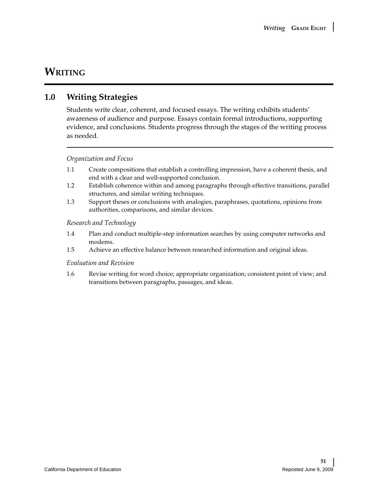## **WRITING**

### **1.0 Writing Strategies**

Students write clear, coherent, and focused essays. The writing exhibits students' awareness of audience and purpose. Essays contain formal introductions, supporting evidence, and conclusions. Students progress through the stages of the writing process as needed.

### *Organization and Focus*

- 1.1 Create compositions that establish a controlling impression, have a coherent thesis, and end with a clear and well-supported conclusion.
- 1.2 Establish coherence within and among paragraphs through effective transitions, parallel structures, and similar writing techniques.
- 1.3 Support theses or conclusions with analogies, paraphrases, quotations, opinions from authorities, comparisons, and similar devices.

### *Research and Technology*

- 1.4 Plan and conduct multiple-step information searches by using computer networks and modems.
- 1.5 Achieve an effective balance between researched information and original ideas.

### *Evaluation and Revision*

1.6 Revise writing for word choice; appropriate organization; consistent point of view; and transitions between paragraphs, passages, and ideas.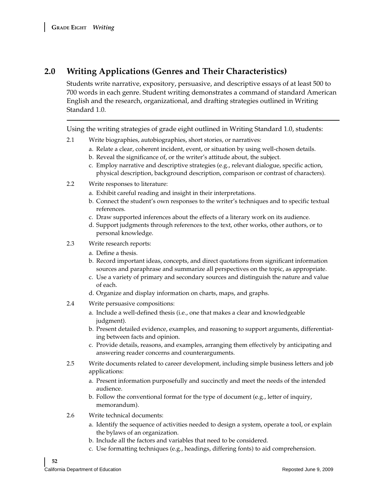### **2.0 Writing Applications (Genres and Their Characteristics)**

Students write narrative, expository, persuasive, and descriptive essays of at least 500 to 700 words in each genre. Student writing demonstrates a command of standard American English and the research, organizational, and drafting strategies outlined in Writing Standard 1.0.

Using the writing strategies of grade eight outlined in Writing Standard 1.0, students:

- 2.1 Write biographies, autobiographies, short stories, or narratives:
	- a. Relate a clear, coherent incident, event, or situation by using well-chosen details.
	- b. Reveal the significance of, or the writer's attitude about, the subject.
	- c. Employ narrative and descriptive strategies (e.g., relevant dialogue, specific action, physical description, background description, comparison or contrast of characters).
- 2.2 Write responses to literature:
	- a. Exhibit careful reading and insight in their interpretations.
	- b. Connect the student's own responses to the writer's techniques and to specific textual references.
	- c. Draw supported inferences about the effects of a literary work on its audience.
	- d. Support judgments through references to the text, other works, other authors, or to personal knowledge.
- 2.3 Write research reports:
	- a. Define a thesis.
	- b. Record important ideas, concepts, and direct quotations from significant information sources and paraphrase and summarize all perspectives on the topic, as appropriate.
	- c. Use a variety of primary and secondary sources and distinguish the nature and value of each.
	- d. Organize and display information on charts, maps, and graphs.
- 2.4 Write persuasive compositions:
	- a. Include a well-defined thesis (i.e., one that makes a clear and knowledgeable judgment).
	- b. Present detailed evidence, examples, and reasoning to support arguments, differentiating between facts and opinion.
	- c. Provide details, reasons, and examples, arranging them effectively by anticipating and answering reader concerns and counterarguments.
- 2.5 Write documents related to career development, including simple business letters and job applications:
	- a. Present information purposefully and succinctly and meet the needs of the intended audience.
	- b. Follow the conventional format for the type of document (e.g., letter of inquiry, memorandum).
- 2.6 Write technical documents:
	- a. Identify the sequence of activities needed to design a system, operate a tool, or explain the bylaws of an organization.
	- b. Include all the factors and variables that need to be considered.
	- c. Use formatting techniques (e.g., headings, differing fonts) to aid comprehension.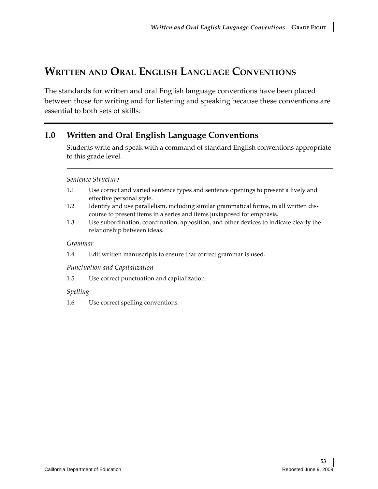# **WRITTEN AND ORAL ENGLISH LANGUAGE CONVENTIONS**

The standards for written and oral English language conventions have been placed between those for writing and for listening and speaking because these conventions are essential to both sets of skills.

### **1.0 Written and Oral English Language Conventions**

Students write and speak with a command of standard English conventions appropriate to this grade level.

### *Sentence Structure*

- 1.1 Use correct and varied sentence types and sentence openings to present a lively and effective personal style.
- 1.2 Identify and use parallelism, including similar grammatical forms, in all written discourse to present items in a series and items juxtaposed for emphasis.
- 1.3 Use subordination, coordination, apposition, and other devices to indicate clearly the relationship between ideas.

### *Grammar*

1.4 Edit written manuscripts to ensure that correct grammar is used.

*Punctuation and Capitalization* 

1.5 Use correct punctuation and capitalization.

### *Spelling*

1.6 Use correct spelling conventions.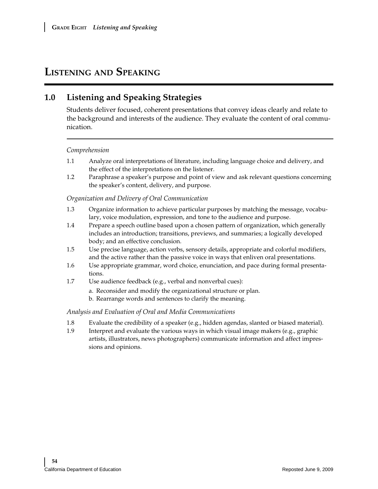## **LISTENING AND SPEAKING**

### **1.0 Listening and Speaking Strategies**

Students deliver focused, coherent presentations that convey ideas clearly and relate to the background and interests of the audience. They evaluate the content of oral communication.

### *Comprehension*

- 1.1 Analyze oral interpretations of literature, including language choice and delivery, and the effect of the interpretations on the listener.
- 1.2 Paraphrase a speaker's purpose and point of view and ask relevant questions concerning the speaker's content, delivery, and purpose.

### *Organization and Delivery of Oral Communication*

- 1.3 Organize information to achieve particular purposes by matching the message, vocabulary, voice modulation, expression, and tone to the audience and purpose.
- 1.4 Prepare a speech outline based upon a chosen pattern of organization, which generally includes an introduction; transitions, previews, and summaries; a logically developed body; and an effective conclusion.
- 1.5 Use precise language, action verbs, sensory details, appropriate and colorful modifiers, and the active rather than the passive voice in ways that enliven oral presentations.
- 1.6 Use appropriate grammar, word choice, enunciation, and pace during formal presentations.
- 1.7 Use audience feedback (e.g., verbal and nonverbal cues):
	- a. Reconsider and modify the organizational structure or plan.
	- b. Rearrange words and sentences to clarify the meaning.

### *Analysis and Evaluation of Oral and Media Communications*

- 1.8 Evaluate the credibility of a speaker (e.g., hidden agendas, slanted or biased material).
- 1.9 Interpret and evaluate the various ways in which visual image makers (e.g., graphic artists, illustrators, news photographers) communicate information and affect impressions and opinions.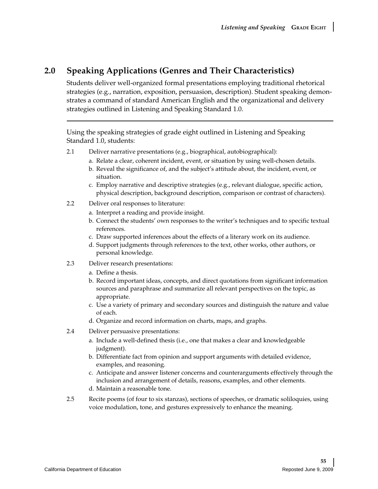### **2.0 Speaking Applications (Genres and Their Characteristics)**

Students deliver well-organized formal presentations employing traditional rhetorical strategies (e.g., narration, exposition, persuasion, description). Student speaking demonstrates a command of standard American English and the organizational and delivery strategies outlined in Listening and Speaking Standard 1.0.

Using the speaking strategies of grade eight outlined in Listening and Speaking Standard 1.0, students:

- 2.1 Deliver narrative presentations (e.g., biographical, autobiographical):
	- a. Relate a clear, coherent incident, event, or situation by using well-chosen details.
	- b. Reveal the significance of, and the subject's attitude about, the incident, event, or situation.
	- c. Employ narrative and descriptive strategies (e.g., relevant dialogue, specific action, physical description, background description, comparison or contrast of characters).
- 2.2 Deliver oral responses to literature:
	- a. Interpret a reading and provide insight.
	- b. Connect the students' own responses to the writer's techniques and to specific textual references.
	- c. Draw supported inferences about the effects of a literary work on its audience.
	- d. Support judgments through references to the text, other works, other authors, or personal knowledge.
- 2.3 Deliver research presentations:
	- a. Define a thesis.
	- b. Record important ideas, concepts, and direct quotations from significant information sources and paraphrase and summarize all relevant perspectives on the topic, as appropriate.
	- c. Use a variety of primary and secondary sources and distinguish the nature and value of each.
	- d. Organize and record information on charts, maps, and graphs.
- 2.4 Deliver persuasive presentations:
	- a. Include a well-defined thesis (i.e., one that makes a clear and knowledgeable judgment).
	- b. Differentiate fact from opinion and support arguments with detailed evidence, examples, and reasoning.
	- c. Anticipate and answer listener concerns and counterarguments effectively through the inclusion and arrangement of details, reasons, examples, and other elements.
	- d. Maintain a reasonable tone.
- 2.5 Recite poems (of four to six stanzas), sections of speeches, or dramatic soliloquies, using voice modulation, tone, and gestures expressively to enhance the meaning.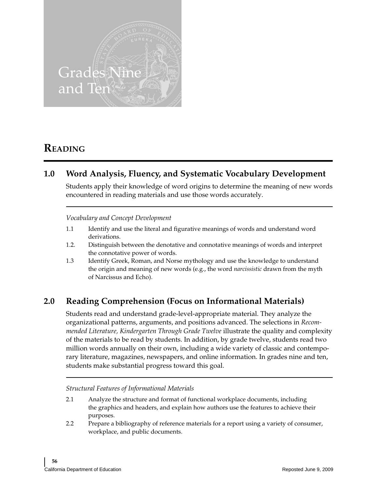

# **READING**

### **1.0 Word Analysis, Fluency, and Systematic Vocabulary Development**

Students apply their knowledge of word origins to determine the meaning of new words encountered in reading materials and use those words accurately.

*Vocabulary and Concept Development* 

- 1.1 Identify and use the literal and figurative meanings of words and understand word derivations.
- 1.2. Distinguish between the denotative and connotative meanings of words and interpret the connotative power of words.
- 1.3 Identify Greek, Roman, and Norse mythology and use the knowledge to understand the origin and meaning of new words (e.g., the word *narcissistic* drawn from the myth of Narcissus and Echo).

### **2.0 Reading Comprehension (Focus on Informational Materials)**

Students read and understand grade-level-appropriate material. They analyze the organizational patterns, arguments, and positions advanced. The selections in *Recommended Literature, Kindergarten Through Grade Twelve* illustrate the quality and complexity of the materials to be read by students. In addition, by grade twelve, students read two million words annually on their own, including a wide variety of classic and contemporary literature, magazines, newspapers, and online information. In grades nine and ten, students make substantial progress toward this goal.

*Structural Features of Informational Materials* 

- 2.1 Analyze the structure and format of functional workplace documents, including the graphics and headers, and explain how authors use the features to achieve their purposes.
- 2.2 Prepare a bibliography of reference materials for a report using a variety of consumer, workplace, and public documents.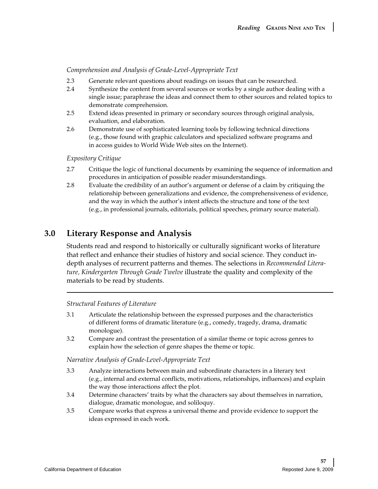### *Comprehension and Analysis of Grade-Level-Appropriate Text*

- 2.3 Generate relevant questions about readings on issues that can be researched.
- 2.4 Synthesize the content from several sources or works by a single author dealing with a single issue; paraphrase the ideas and connect them to other sources and related topics to demonstrate comprehension.
- 2.5 Extend ideas presented in primary or secondary sources through original analysis, evaluation, and elaboration.
- 2.6 Demonstrate use of sophisticated learning tools by following technical directions (e.g., those found with graphic calculators and specialized software programs and in access guides to World Wide Web sites on the Internet).

### *Expository Critique*

- 2.7 Critique the logic of functional documents by examining the sequence of information and procedures in anticipation of possible reader misunderstandings.
- 2.8 Evaluate the credibility of an author's argument or defense of a claim by critiquing the relationship between generalizations and evidence, the comprehensiveness of evidence, and the way in which the author's intent affects the structure and tone of the text (e.g., in professional journals, editorials, political speeches, primary source material).

### **3.0 Literary Response and Analysis**

Students read and respond to historically or culturally significant works of literature that reflect and enhance their studies of history and social science. They conduct indepth analyses of recurrent patterns and themes. The selections in *Recommended Literature, Kindergarten Through Grade Twelve* illustrate the quality and complexity of the materials to be read by students.

#### *Structural Features of Literature*

- 3.1 Articulate the relationship between the expressed purposes and the characteristics of different forms of dramatic literature (e.g., comedy, tragedy, drama, dramatic monologue).
- 3.2 Compare and contrast the presentation of a similar theme or topic across genres to explain how the selection of genre shapes the theme or topic.

#### *Narrative Analysis of Grade-Level-Appropriate Text*

- 3.3 Analyze interactions between main and subordinate characters in a literary text (e.g., internal and external conflicts, motivations, relationships, influences) and explain the way those interactions affect the plot.
- 3.4 Determine characters' traits by what the characters say about themselves in narration, dialogue, dramatic monologue, and soliloquy.
- 3.5 Compare works that express a universal theme and provide evidence to support the ideas expressed in each work.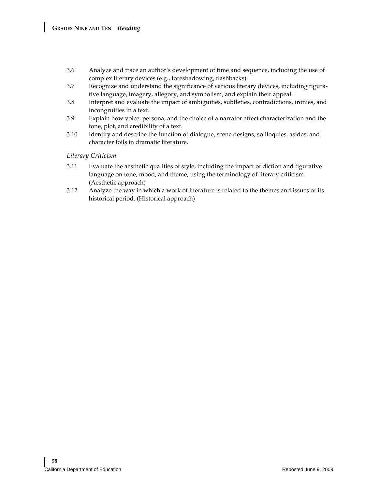- 3.6 Analyze and trace an author's development of time and sequence, including the use of complex literary devices (e.g., foreshadowing, flashbacks).
- 3.7 Recognize and understand the significance of various literary devices, including figurative language, imagery, allegory, and symbolism, and explain their appeal.
- 3.8 Interpret and evaluate the impact of ambiguities, subtleties, contradictions, ironies, and incongruities in a text.
- 3.9 Explain how voice, persona, and the choice of a narrator affect characterization and the tone, plot, and credibility of a text.
- 3.10 Identify and describe the function of dialogue, scene designs, soliloquies, asides, and character foils in dramatic literature.

*Literary Criticism* 

- 3.11 Evaluate the aesthetic qualities of style, including the impact of diction and figurative language on tone, mood, and theme, using the terminology of literary criticism. (Aesthetic approach)
- 3.12 Analyze the way in which a work of literature is related to the themes and issues of its historical period. (Historical approach)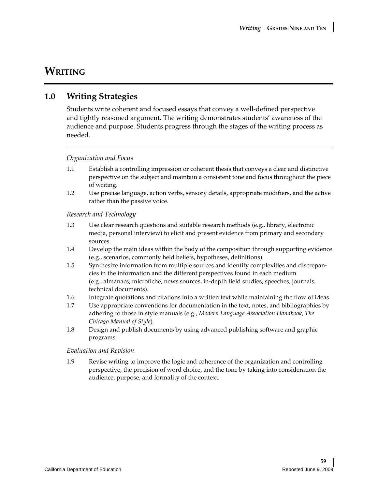## **WRITING**

### **1.0 Writing Strategies**

Students write coherent and focused essays that convey a well-defined perspective and tightly reasoned argument. The writing demonstrates students' awareness of the audience and purpose. Students progress through the stages of the writing process as needed.

### *Organization and Focus*

- 1.1 Establish a controlling impression or coherent thesis that conveys a clear and distinctive perspective on the subject and maintain a consistent tone and focus throughout the piece of writing.
- 1.2 Use precise language, action verbs, sensory details, appropriate modifiers, and the active rather than the passive voice.

### *Research and Technology*

- 1.3 Use clear research questions and suitable research methods (e.g., library, electronic media, personal interview) to elicit and present evidence from primary and secondary sources.
- 1.4 Develop the main ideas within the body of the composition through supporting evidence (e.g., scenarios, commonly held beliefs, hypotheses, definitions).
- 1.5 Synthesize information from multiple sources and identify complexities and discrepancies in the information and the different perspectives found in each medium (e.g., almanacs, microfiche, news sources, in-depth field studies, speeches, journals, technical documents).
- 1.6 Integrate quotations and citations into a written text while maintaining the flow of ideas.
- 1.7 Use appropriate conventions for documentation in the text, notes, and bibliographies by adhering to those in style manuals (e.g., *Modern Language Association Handbook*, *The Chicago Manual of Style*).
- 1.8 Design and publish documents by using advanced publishing software and graphic programs.

### *Evaluation and Revision*

1.9 Revise writing to improve the logic and coherence of the organization and controlling perspective, the precision of word choice, and the tone by taking into consideration the audience, purpose, and formality of the context.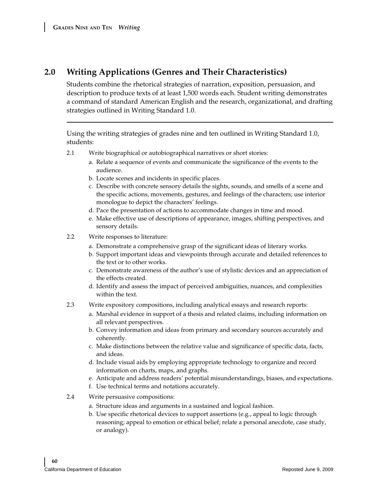### **2.0 Writing Applications (Genres and Their Characteristics)**

Students combine the rhetorical strategies of narration, exposition, persuasion, and description to produce texts of at least 1,500 words each. Student writing demonstrates a command of standard American English and the research, organizational, and drafting strategies outlined in Writing Standard 1.0.

Using the writing strategies of grades nine and ten outlined in Writing Standard 1.0, students:

- 2.1 Write biographical or autobiographical narratives or short stories:
	- a. Relate a sequence of events and communicate the significance of the events to the audience.
	- b. Locate scenes and incidents in specific places.
	- c. Describe with concrete sensory details the sights, sounds, and smells of a scene and the specific actions, movements, gestures, and feelings of the characters; use interior monologue to depict the characters' feelings.
	- d. Pace the presentation of actions to accommodate changes in time and mood.
	- e. Make effective use of descriptions of appearance, images, shifting perspectives, and sensory details.
- 2.2 Write responses to literature:
	- a. Demonstrate a comprehensive grasp of the significant ideas of literary works.
	- b. Support important ideas and viewpoints through accurate and detailed references to the text or to other works.
	- c. Demonstrate awareness of the author's use of stylistic devices and an appreciation of the effects created.
	- d. Identify and assess the impact of perceived ambiguities, nuances, and complexities within the text.
- 2.3 Write expository compositions, including analytical essays and research reports:
	- a. Marshal evidence in support of a thesis and related claims, including information on all relevant perspectives.
	- b. Convey information and ideas from primary and secondary sources accurately and coherently.
	- c. Make distinctions between the relative value and significance of specific data, facts, and ideas.
	- d. Include visual aids by employing appropriate technology to organize and record information on charts, maps, and graphs.
	- e. Anticipate and address readers' potential misunderstandings, biases, and expectations.
	- f. Use technical terms and notations accurately.
- 2.4 Write persuasive compositions:
	- a. Structure ideas and arguments in a sustained and logical fashion.
	- b. Use specific rhetorical devices to support assertions (e.g., appeal to logic through reasoning; appeal to emotion or ethical belief; relate a personal anecdote, case study, or analogy).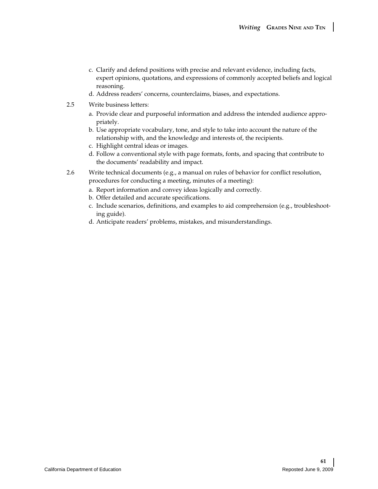- c. Clarify and defend positions with precise and relevant evidence, including facts, expert opinions, quotations, and expressions of commonly accepted beliefs and logical reasoning.
- d. Address readers' concerns, counterclaims, biases, and expectations.
- 2.5 Write business letters:
	- a. Provide clear and purposeful information and address the intended audience appropriately.
	- b. Use appropriate vocabulary, tone, and style to take into account the nature of the relationship with, and the knowledge and interests of, the recipients.
	- c. Highlight central ideas or images.
	- d. Follow a conventional style with page formats, fonts, and spacing that contribute to the documents' readability and impact.
- 2.6 Write technical documents (e.g., a manual on rules of behavior for conflict resolution, procedures for conducting a meeting, minutes of a meeting):
	- a. Report information and convey ideas logically and correctly.
	- b. Offer detailed and accurate specifications.
	- c. Include scenarios, definitions, and examples to aid comprehension (e.g., troubleshooting guide).
	- d. Anticipate readers' problems, mistakes, and misunderstandings.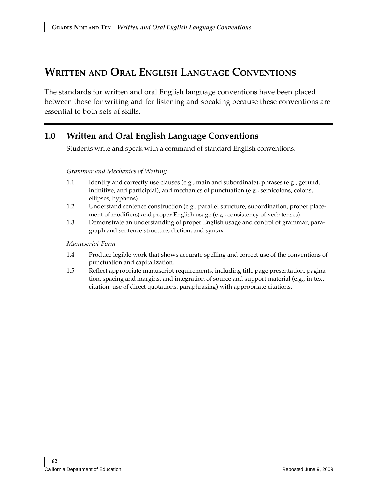## **WRITTEN AND ORAL ENGLISH LANGUAGE CONVENTIONS**

The standards for written and oral English language conventions have been placed between those for writing and for listening and speaking because these conventions are essential to both sets of skills.

### **1.0 Written and Oral English Language Conventions**

Students write and speak with a command of standard English conventions.

### *Grammar and Mechanics of Writing*

- 1.1 Identify and correctly use clauses (e.g., main and subordinate), phrases (e.g., gerund, infinitive, and participial), and mechanics of punctuation (e.g., semicolons, colons, ellipses, hyphens).
- 1.2 Understand sentence construction (e.g., parallel structure, subordination, proper placement of modifiers) and proper English usage (e.g., consistency of verb tenses).
- 1.3 Demonstrate an understanding of proper English usage and control of grammar, paragraph and sentence structure, diction, and syntax.

### *Manuscript Form*

- 1.4 Produce legible work that shows accurate spelling and correct use of the conventions of punctuation and capitalization.
- 1.5 Reflect appropriate manuscript requirements, including title page presentation, pagination, spacing and margins, and integration of source and support material (e.g., in-text citation, use of direct quotations, paraphrasing) with appropriate citations.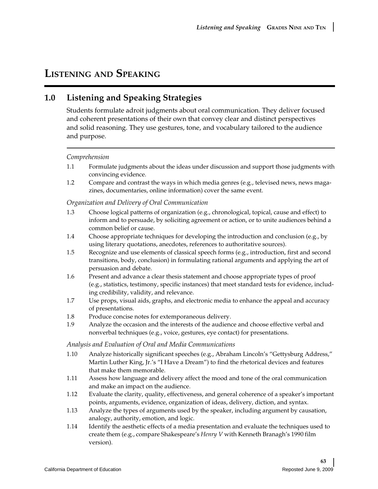## **LISTENING AND SPEAKING**

### **1.0 Listening and Speaking Strategies**

Students formulate adroit judgments about oral communication. They deliver focused and coherent presentations of their own that convey clear and distinct perspectives and solid reasoning. They use gestures, tone, and vocabulary tailored to the audience and purpose.

### *Comprehension*

- 1.1 Formulate judgments about the ideas under discussion and support those judgments with convincing evidence.
- 1.2 Compare and contrast the ways in which media genres (e.g., televised news, news magazines, documentaries, online information) cover the same event.

### *Organization and Delivery of Oral Communication*

- 1.3 Choose logical patterns of organization (e.g., chronological, topical, cause and effect) to inform and to persuade, by soliciting agreement or action, or to unite audiences behind a common belief or cause.
- 1.4 Choose appropriate techniques for developing the introduction and conclusion (e.g., by using literary quotations, anecdotes, references to authoritative sources).
- 1.5 Recognize and use elements of classical speech forms (e.g., introduction, first and second transitions, body, conclusion) in formulating rational arguments and applying the art of persuasion and debate.
- 1.6 Present and advance a clear thesis statement and choose appropriate types of proof (e.g., statistics, testimony, specific instances) that meet standard tests for evidence, including credibility, validity, and relevance.
- 1.7 Use props, visual aids, graphs, and electronic media to enhance the appeal and accuracy of presentations.
- 1.8 Produce concise notes for extemporaneous delivery.
- 1.9 Analyze the occasion and the interests of the audience and choose effective verbal and nonverbal techniques (e.g., voice, gestures, eye contact) for presentations.

*Analysis and Evaluation of Oral and Media Communications* 

- 1.10 Analyze historically significant speeches (e.g., Abraham Lincoln's "Gettysburg Address," Martin Luther King, Jr.'s "I Have a Dream") to find the rhetorical devices and features that make them memorable.
- 1.11 Assess how language and delivery affect the mood and tone of the oral communication and make an impact on the audience.
- 1.12 Evaluate the clarity, quality, effectiveness, and general coherence of a speaker's important points, arguments, evidence, organization of ideas, delivery, diction, and syntax.
- 1.13 Analyze the types of arguments used by the speaker, including argument by causation, analogy, authority, emotion, and logic.
- 1.14 Identify the aesthetic effects of a media presentation and evaluate the techniques used to create them (e.g., compare Shakespeare's *Henry V* with Kenneth Branagh's 1990 film version).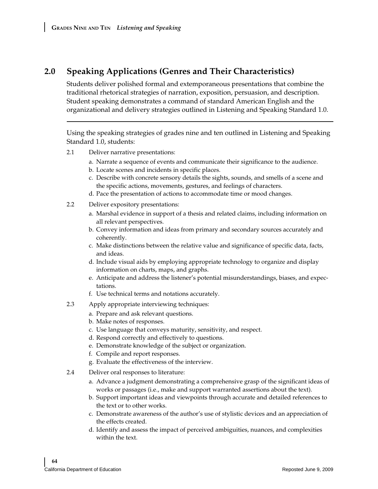### **2.0 Speaking Applications (Genres and Their Characteristics)**

Students deliver polished formal and extemporaneous presentations that combine the traditional rhetorical strategies of narration, exposition, persuasion, and description. Student speaking demonstrates a command of standard American English and the organizational and delivery strategies outlined in Listening and Speaking Standard 1.0.

Using the speaking strategies of grades nine and ten outlined in Listening and Speaking Standard 1.0, students:

- 2.1 Deliver narrative presentations:
	- a. Narrate a sequence of events and communicate their significance to the audience.
	- b. Locate scenes and incidents in specific places.
	- c. Describe with concrete sensory details the sights, sounds, and smells of a scene and the specific actions, movements, gestures, and feelings of characters.
	- d. Pace the presentation of actions to accommodate time or mood changes.
- 2.2 Deliver expository presentations:
	- a. Marshal evidence in support of a thesis and related claims, including information on all relevant perspectives.
	- b. Convey information and ideas from primary and secondary sources accurately and coherently.
	- c. Make distinctions between the relative value and significance of specific data, facts, and ideas.
	- d. Include visual aids by employing appropriate technology to organize and display information on charts, maps, and graphs.
	- e. Anticipate and address the listener's potential misunderstandings, biases, and expectations.
	- f. Use technical terms and notations accurately.
- 2.3 Apply appropriate interviewing techniques:
	- a. Prepare and ask relevant questions.
	- b. Make notes of responses.
	- c. Use language that conveys maturity, sensitivity, and respect.
	- d. Respond correctly and effectively to questions.
	- e. Demonstrate knowledge of the subject or organization.
	- f. Compile and report responses.
	- g. Evaluate the effectiveness of the interview.
- 2.4 Deliver oral responses to literature:
	- a. Advance a judgment demonstrating a comprehensive grasp of the significant ideas of works or passages (i.e., make and support warranted assertions about the text).
	- b. Support important ideas and viewpoints through accurate and detailed references to the text or to other works.
	- c. Demonstrate awareness of the author's use of stylistic devices and an appreciation of the effects created.
	- d. Identify and assess the impact of perceived ambiguities, nuances, and complexities within the text.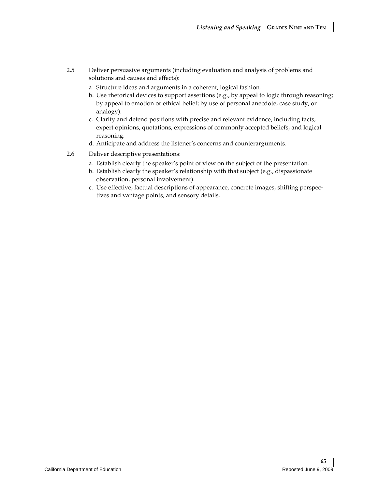- 2.5 Deliver persuasive arguments (including evaluation and analysis of problems and solutions and causes and effects):
	- a. Structure ideas and arguments in a coherent, logical fashion.
	- b. Use rhetorical devices to support assertions (e.g., by appeal to logic through reasoning; by appeal to emotion or ethical belief; by use of personal anecdote, case study, or analogy).
	- c. Clarify and defend positions with precise and relevant evidence, including facts, expert opinions, quotations, expressions of commonly accepted beliefs, and logical reasoning.
	- d. Anticipate and address the listener's concerns and counterarguments.
- 2.6 Deliver descriptive presentations:
	- a. Establish clearly the speaker's point of view on the subject of the presentation.
	- b. Establish clearly the speaker's relationship with that subject (e.g., dispassionate observation, personal involvement).
	- c. Use effective, factual descriptions of appearance, concrete images, shifting perspectives and vantage points, and sensory details.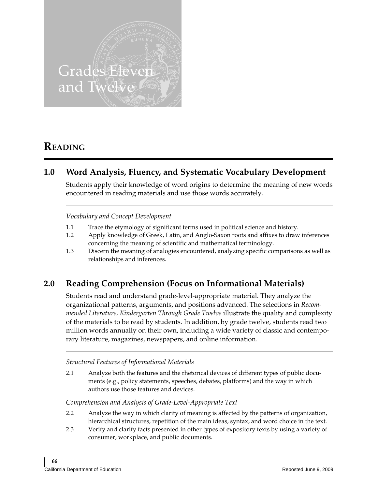

# **READING**

## **1.0 Word Analysis, Fluency, and Systematic Vocabulary Development**

Students apply their knowledge of word origins to determine the meaning of new words encountered in reading materials and use those words accurately.

#### *Vocabulary and Concept Development*

- 1.1 Trace the etymology of significant terms used in political science and history.
- 1.2 Apply knowledge of Greek, Latin, and Anglo-Saxon roots and affixes to draw inferences concerning the meaning of scientific and mathematical terminology.
- 1.3 Discern the meaning of analogies encountered, analyzing specific comparisons as well as relationships and inferences.

## **2.0 Reading Comprehension (Focus on Informational Materials)**

Students read and understand grade-level-appropriate material. They analyze the organizational patterns, arguments, and positions advanced. The selections in *Recommended Literature, Kindergarten Through Grade Twelve* illustrate the quality and complexity of the materials to be read by students. In addition, by grade twelve, students read two million words annually on their own, including a wide variety of classic and contemporary literature, magazines, newspapers, and online information.

*Structural Features of Informational Materials* 

2.1 Analyze both the features and the rhetorical devices of different types of public documents (e.g., policy statements, speeches, debates, platforms) and the way in which authors use those features and devices.

#### *Comprehension and Analysis of Grade-Level-Appropriate Text*

- 2.2 Analyze the way in which clarity of meaning is affected by the patterns of organization, hierarchical structures, repetition of the main ideas, syntax, and word choice in the text.
- 2.3 Verify and clarify facts presented in other types of expository texts by using a variety of consumer, workplace, and public documents.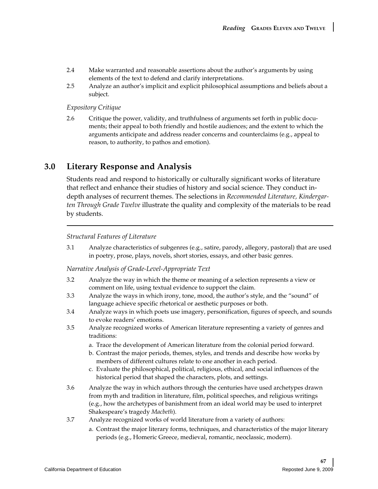- 2.4 Make warranted and reasonable assertions about the author's arguments by using elements of the text to defend and clarify interpretations.
- 2.5 Analyze an author's implicit and explicit philosophical assumptions and beliefs about a subject.

#### *Expository Critique*

2.6 Critique the power, validity, and truthfulness of arguments set forth in public documents; their appeal to both friendly and hostile audiences; and the extent to which the arguments anticipate and address reader concerns and counterclaims (e.g., appeal to reason, to authority, to pathos and emotion).

## **3.0 Literary Response and Analysis**

Students read and respond to historically or culturally significant works of literature that reflect and enhance their studies of history and social science. They conduct indepth analyses of recurrent themes. The selections in *Recommended Literature, Kindergarten Through Grade Twelve* illustrate the quality and complexity of the materials to be read by students.

#### *Structural Features of Literature*

3.1 Analyze characteristics of subgenres (e.g., satire, parody, allegory, pastoral) that are used in poetry, prose, plays, novels, short stories, essays, and other basic genres.

#### *Narrative Analysis of Grade-Level-Appropriate Text*

- 3.2 Analyze the way in which the theme or meaning of a selection represents a view or comment on life, using textual evidence to support the claim.
- 3.3 Analyze the ways in which irony, tone, mood, the author's style, and the "sound" of language achieve specific rhetorical or aesthetic purposes or both.
- 3.4 Analyze ways in which poets use imagery, personification, figures of speech, and sounds to evoke readers' emotions.
- 3.5 Analyze recognized works of American literature representing a variety of genres and traditions:
	- a. Trace the development of American literature from the colonial period forward.
	- b. Contrast the major periods, themes, styles, and trends and describe how works by members of different cultures relate to one another in each period.
	- c. Evaluate the philosophical, political, religious, ethical, and social influences of the historical period that shaped the characters, plots, and settings.
- 3.6 Analyze the way in which authors through the centuries have used archetypes drawn from myth and tradition in literature, film, political speeches, and religious writings (e.g., how the archetypes of banishment from an ideal world may be used to interpret Shakespeare's tragedy *Macbeth*).
- 3.7 Analyze recognized works of world literature from a variety of authors:
	- a. Contrast the major literary forms, techniques, and characteristics of the major literary periods (e.g., Homeric Greece, medieval, romantic, neoclassic, modern).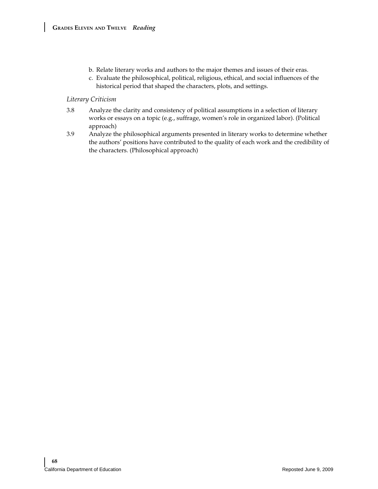- b. Relate literary works and authors to the major themes and issues of their eras.
- c. Evaluate the philosophical, political, religious, ethical, and social influences of the historical period that shaped the characters, plots, and settings.

#### *Literary Criticism*

- 3.8 Analyze the clarity and consistency of political assumptions in a selection of literary works or essays on a topic (e.g., suffrage, women's role in organized labor). (Political approach)
- 3.9 Analyze the philosophical arguments presented in literary works to determine whether the authors' positions have contributed to the quality of each work and the credibility of the characters. (Philosophical approach)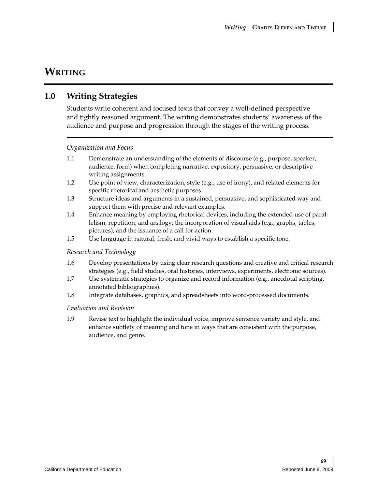# **WRITING**

## **1.0 Writing Strategies**

Students write coherent and focused texts that convey a well-defined perspective and tightly reasoned argument. The writing demonstrates students' awareness of the audience and purpose and progression through the stages of the writing process.

*Organization and Focus* 

- 1.1 Demonstrate an understanding of the elements of discourse (e.g., purpose, speaker, audience, form) when completing narrative, expository, persuasive, or descriptive writing assignments.
- 1.2 Use point of view, characterization, style (e.g., use of irony), and related elements for specific rhetorical and aesthetic purposes.
- 1.3 Structure ideas and arguments in a sustained, persuasive, and sophisticated way and support them with precise and relevant examples.
- 1.4 Enhance meaning by employing rhetorical devices, including the extended use of parallelism, repetition, and analogy; the incorporation of visual aids (e.g., graphs, tables, pictures); and the issuance of a call for action.
- 1.5 Use language in natural, fresh, and vivid ways to establish a specific tone.

#### *Research and Technology*

- 1.6 Develop presentations by using clear research questions and creative and critical research strategies (e.g., field studies, oral histories, interviews, experiments, electronic sources).
- 1.7 Use systematic strategies to organize and record information (e.g., anecdotal scripting, annotated bibliographies).
- 1.8 Integrate databases, graphics, and spreadsheets into word-processed documents.

#### *Evaluation and Revision*

1.9 Revise text to highlight the individual voice, improve sentence variety and style, and enhance subtlety of meaning and tone in ways that are consistent with the purpose, audience, and genre.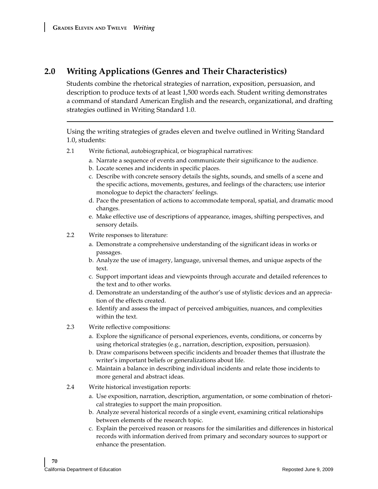### **2.0 Writing Applications (Genres and Their Characteristics)**

Students combine the rhetorical strategies of narration, exposition, persuasion, and description to produce texts of at least 1,500 words each. Student writing demonstrates a command of standard American English and the research, organizational, and drafting strategies outlined in Writing Standard 1.0.

Using the writing strategies of grades eleven and twelve outlined in Writing Standard 1.0, students:

- 2.1 Write fictional, autobiographical, or biographical narratives:
	- a. Narrate a sequence of events and communicate their significance to the audience.
	- b. Locate scenes and incidents in specific places.
	- c. Describe with concrete sensory details the sights, sounds, and smells of a scene and the specific actions, movements, gestures, and feelings of the characters; use interior monologue to depict the characters' feelings.
	- d. Pace the presentation of actions to accommodate temporal, spatial, and dramatic mood changes.
	- e. Make effective use of descriptions of appearance, images, shifting perspectives, and sensory details.
- 2.2 Write responses to literature:
	- a. Demonstrate a comprehensive understanding of the significant ideas in works or passages.
	- b. Analyze the use of imagery, language, universal themes, and unique aspects of the text.
	- c. Support important ideas and viewpoints through accurate and detailed references to the text and to other works.
	- d. Demonstrate an understanding of the author's use of stylistic devices and an appreciation of the effects created.
	- e. Identify and assess the impact of perceived ambiguities, nuances, and complexities within the text.
- 2.3 Write reflective compositions:
	- a. Explore the significance of personal experiences, events, conditions, or concerns by using rhetorical strategies (e.g., narration, description, exposition, persuasion).
	- b. Draw comparisons between specific incidents and broader themes that illustrate the writer's important beliefs or generalizations about life.
	- c. Maintain a balance in describing individual incidents and relate those incidents to more general and abstract ideas.
- 2.4 Write historical investigation reports:
	- a. Use exposition, narration, description, argumentation, or some combination of rhetorical strategies to support the main proposition.
	- b. Analyze several historical records of a single event, examining critical relationships between elements of the research topic.
	- c. Explain the perceived reason or reasons for the similarities and differences in historical records with information derived from primary and secondary sources to support or enhance the presentation.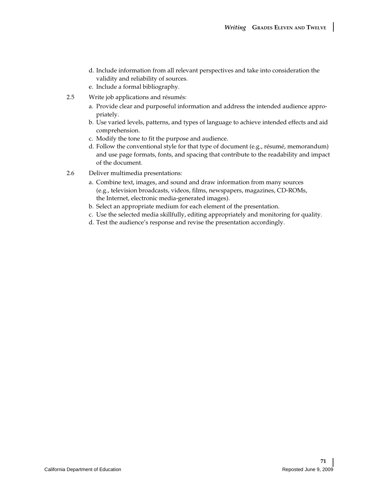- d. Include information from all relevant perspectives and take into consideration the validity and reliability of sources.
- e. Include a formal bibliography.
- 2.5 Write job applications and résumés:
	- a. Provide clear and purposeful information and address the intended audience appropriately.
	- b. Use varied levels, patterns, and types of language to achieve intended effects and aid comprehension.
	- c. Modify the tone to fit the purpose and audience.
	- d. Follow the conventional style for that type of document (e.g., résumé, memorandum) and use page formats, fonts, and spacing that contribute to the readability and impact of the document.
- 2.6 Deliver multimedia presentations:
	- a. Combine text, images, and sound and draw information from many sources (e.g., television broadcasts, videos, films, newspapers, magazines, CD-ROMs, the Internet, electronic media-generated images).
	- b. Select an appropriate medium for each element of the presentation.
	- c. Use the selected media skillfully, editing appropriately and monitoring for quality.
	- d. Test the audience's response and revise the presentation accordingly.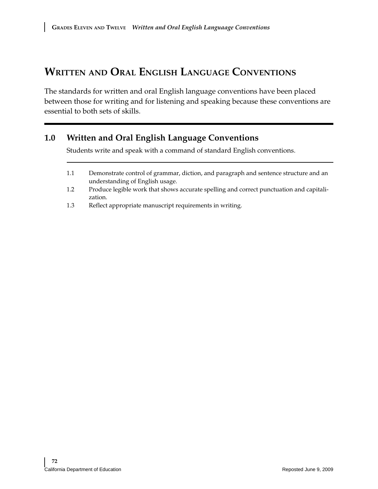# **WRITTEN AND ORAL ENGLISH LANGUAGE CONVENTIONS**

The standards for written and oral English language conventions have been placed between those for writing and for listening and speaking because these conventions are essential to both sets of skills.

## **1.0 Written and Oral English Language Conventions**

Students write and speak with a command of standard English conventions.

- 1.1 Demonstrate control of grammar, diction, and paragraph and sentence structure and an understanding of English usage.
- 1.2 Produce legible work that shows accurate spelling and correct punctuation and capitalization.
- 1.3 Reflect appropriate manuscript requirements in writing.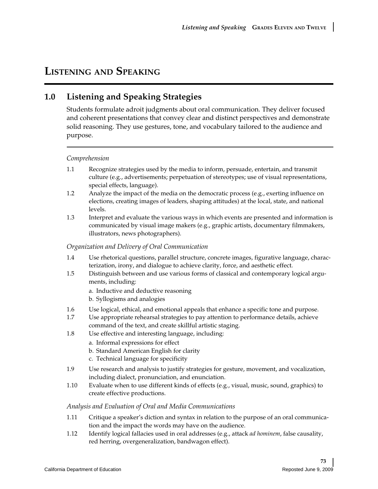# **LISTENING AND SPEAKING**

## **1.0 Listening and Speaking Strategies**

Students formulate adroit judgments about oral communication. They deliver focused and coherent presentations that convey clear and distinct perspectives and demonstrate solid reasoning. They use gestures, tone, and vocabulary tailored to the audience and purpose.

#### *Comprehension*

- 1.1 Recognize strategies used by the media to inform, persuade, entertain, and transmit culture (e.g., advertisements; perpetuation of stereotypes; use of visual representations, special effects, language).
- 1.2 Analyze the impact of the media on the democratic process (e.g., exerting influence on elections, creating images of leaders, shaping attitudes) at the local, state, and national levels.
- 1.3 Interpret and evaluate the various ways in which events are presented and information is communicated by visual image makers (e.g., graphic artists, documentary filmmakers, illustrators, news photographers).

#### *Organization and Delivery of Oral Communication*

- 1.4 Use rhetorical questions, parallel structure, concrete images, figurative language, characterization, irony, and dialogue to achieve clarity, force, and aesthetic effect.
- 1.5 Distinguish between and use various forms of classical and contemporary logical arguments, including:
	- a. Inductive and deductive reasoning
	- b. Syllogisms and analogies
- 1.6 Use logical, ethical, and emotional appeals that enhance a specific tone and purpose.
- 1.7 Use appropriate rehearsal strategies to pay attention to performance details, achieve command of the text, and create skillful artistic staging.
- 1.8 Use effective and interesting language, including:
	- a. Informal expressions for effect
	- b. Standard American English for clarity
	- c. Technical language for specificity
- 1.9 Use research and analysis to justify strategies for gesture, movement, and vocalization, including dialect, pronunciation, and enunciation.
- 1.10 Evaluate when to use different kinds of effects (e.g., visual, music, sound, graphics) to create effective productions.

#### *Analysis and Evaluation of Oral and Media Communications*

- 1.11 Critique a speaker's diction and syntax in relation to the purpose of an oral communication and the impact the words may have on the audience.
- 1.12 Identify logical fallacies used in oral addresses (e.g., attack *ad hominem*, false causality, red herring, overgeneralization, bandwagon effect).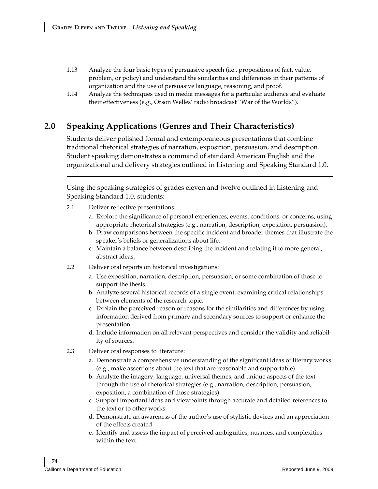- 1.13 Analyze the four basic types of persuasive speech (i.e., propositions of fact, value, problem, or policy) and understand the similarities and differences in their patterns of organization and the use of persuasive language, reasoning, and proof.
- 1.14 Analyze the techniques used in media messages for a particular audience and evaluate their effectiveness (e.g., Orson Welles' radio broadcast "War of the Worlds").

## **2.0 Speaking Applications (Genres and Their Characteristics)**

Students deliver polished formal and extemporaneous presentations that combine traditional rhetorical strategies of narration, exposition, persuasion, and description. Student speaking demonstrates a command of standard American English and the organizational and delivery strategies outlined in Listening and Speaking Standard 1.0.

Using the speaking strategies of grades eleven and twelve outlined in Listening and Speaking Standard 1.0, students:

- 2.1 Deliver reflective presentations:
	- a. Explore the significance of personal experiences, events, conditions, or concerns, using appropriate rhetorical strategies (e.g., narration, description, exposition, persuasion).
	- b. Draw comparisons between the specific incident and broader themes that illustrate the speaker's beliefs or generalizations about life.
	- c. Maintain a balance between describing the incident and relating it to more general, abstract ideas.
- 2.2 Deliver oral reports on historical investigations:
	- a. Use exposition, narration, description, persuasion, or some combination of those to support the thesis.
	- b. Analyze several historical records of a single event, examining critical relationships between elements of the research topic.
	- c. Explain the perceived reason or reasons for the similarities and differences by using information derived from primary and secondary sources to support or enhance the presentation.
	- d. Include information on all relevant perspectives and consider the validity and reliability of sources.
- 2.3 Deliver oral responses to literature:
	- a. Demonstrate a comprehensive understanding of the significant ideas of literary works (e.g., make assertions about the text that are reasonable and supportable).
	- b. Analyze the imagery, language, universal themes, and unique aspects of the text through the use of rhetorical strategies (e.g., narration, description, persuasion, exposition, a combination of those strategies).
	- c. Support important ideas and viewpoints through accurate and detailed references to the text or to other works.
	- d. Demonstrate an awareness of the author's use of stylistic devices and an appreciation of the effects created.
	- e. Identify and assess the impact of perceived ambiguities, nuances, and complexities within the text.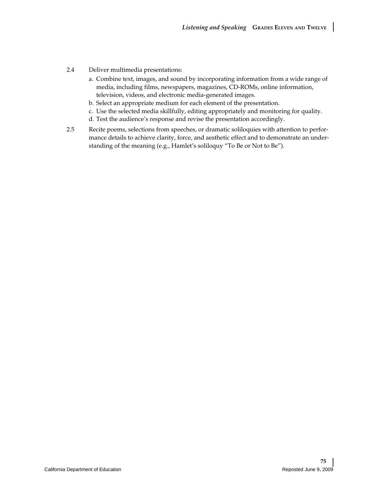- 2.4 Deliver multimedia presentations:
	- a. Combine text, images, and sound by incorporating information from a wide range of media, including films, newspapers, magazines, CD-ROMs, online information, television, videos, and electronic media-generated images.
	- b. Select an appropriate medium for each element of the presentation.
	- c. Use the selected media skillfully, editing appropriately and monitoring for quality.
	- d. Test the audience's response and revise the presentation accordingly.
- 2.5 Recite poems, selections from speeches, or dramatic soliloquies with attention to performance details to achieve clarity, force, and aesthetic effect and to demonstrate an understanding of the meaning (e.g., Hamlet's soliloquy "To Be or Not to Be").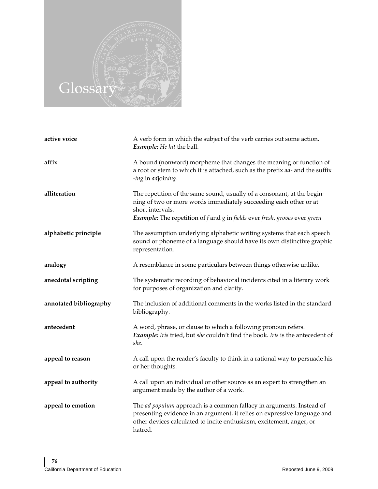

| active voice           | A verb form in which the subject of the verb carries out some action.<br>Example: He hit the ball.                                                                                                                                                    |
|------------------------|-------------------------------------------------------------------------------------------------------------------------------------------------------------------------------------------------------------------------------------------------------|
| affix                  | A bound (nonword) morpheme that changes the meaning or function of<br>a root or stem to which it is attached, such as the prefix ad- and the suffix<br>-ing in adjoining.                                                                             |
| alliteration           | The repetition of the same sound, usually of a consonant, at the begin-<br>ning of two or more words immediately succeeding each other or at<br>short intervals.<br><b>Example:</b> The repetition of f and g in fields ever fresh, groves ever green |
| alphabetic principle   | The assumption underlying alphabetic writing systems that each speech<br>sound or phoneme of a language should have its own distinctive graphic<br>representation.                                                                                    |
| analogy                | A resemblance in some particulars between things otherwise unlike.                                                                                                                                                                                    |
| anecdotal scripting    | The systematic recording of behavioral incidents cited in a literary work<br>for purposes of organization and clarity.                                                                                                                                |
| annotated bibliography | The inclusion of additional comments in the works listed in the standard<br>bibliography.                                                                                                                                                             |
| antecedent             | A word, phrase, or clause to which a following pronoun refers.<br>Example: Iris tried, but she couldn't find the book. Iris is the antecedent of<br>she.                                                                                              |
| appeal to reason       | A call upon the reader's faculty to think in a rational way to persuade his<br>or her thoughts.                                                                                                                                                       |
| appeal to authority    | A call upon an individual or other source as an expert to strengthen an<br>argument made by the author of a work.                                                                                                                                     |
| appeal to emotion      | The ad populum approach is a common fallacy in arguments. Instead of<br>presenting evidence in an argument, it relies on expressive language and<br>other devices calculated to incite enthusiasm, excitement, anger, or<br>hatred.                   |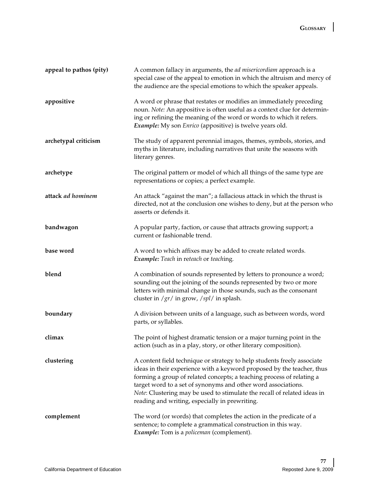| appeal to pathos (pity) | A common fallacy in arguments, the <i>ad misericordiam</i> approach is a<br>special case of the appeal to emotion in which the altruism and mercy of<br>the audience are the special emotions to which the speaker appeals.                                                                                                                                                                                               |
|-------------------------|---------------------------------------------------------------------------------------------------------------------------------------------------------------------------------------------------------------------------------------------------------------------------------------------------------------------------------------------------------------------------------------------------------------------------|
| appositive              | A word or phrase that restates or modifies an immediately preceding<br>noun. Note: An appositive is often useful as a context clue for determin-<br>ing or refining the meaning of the word or words to which it refers.<br>Example: My son Enrico (appositive) is twelve years old.                                                                                                                                      |
| archetypal criticism    | The study of apparent perennial images, themes, symbols, stories, and<br>myths in literature, including narratives that unite the seasons with<br>literary genres.                                                                                                                                                                                                                                                        |
| archetype               | The original pattern or model of which all things of the same type are<br>representations or copies; a perfect example.                                                                                                                                                                                                                                                                                                   |
| attack ad hominem       | An attack "against the man"; a fallacious attack in which the thrust is<br>directed, not at the conclusion one wishes to deny, but at the person who<br>asserts or defends it.                                                                                                                                                                                                                                            |
| bandwagon               | A popular party, faction, or cause that attracts growing support; a<br>current or fashionable trend.                                                                                                                                                                                                                                                                                                                      |
| base word               | A word to which affixes may be added to create related words.<br>Example: Teach in reteach or teaching.                                                                                                                                                                                                                                                                                                                   |
| blend                   | A combination of sounds represented by letters to pronounce a word;<br>sounding out the joining of the sounds represented by two or more<br>letters with minimal change in those sounds, such as the consonant<br>cluster in $\frac{g r}{\sin \theta}$ in grow, $\frac{g r}{\sin \theta}$ in splash.                                                                                                                      |
| boundary                | A division between units of a language, such as between words, word<br>parts, or syllables.                                                                                                                                                                                                                                                                                                                               |
| climax                  | The point of highest dramatic tension or a major turning point in the<br>action (such as in a play, story, or other literary composition).                                                                                                                                                                                                                                                                                |
| clustering              | A content field technique or strategy to help students freely associate<br>ideas in their experience with a keyword proposed by the teacher, thus<br>forming a group of related concepts; a teaching process of relating a<br>target word to a set of synonyms and other word associations.<br>Note: Clustering may be used to stimulate the recall of related ideas in<br>reading and writing, especially in prewriting. |
| complement              | The word (or words) that completes the action in the predicate of a<br>sentence; to complete a grammatical construction in this way.<br>Example: Tom is a policeman (complement).                                                                                                                                                                                                                                         |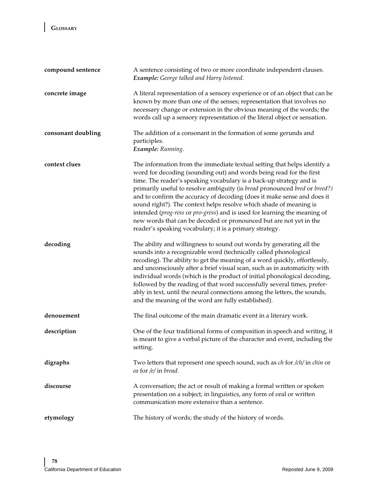| compound sentence  | A sentence consisting of two or more coordinate independent clauses.<br>Example: George talked and Harry listened.                                                                                                                                                                                                                                                                                                                                                                                                                                                                                                                                                  |
|--------------------|---------------------------------------------------------------------------------------------------------------------------------------------------------------------------------------------------------------------------------------------------------------------------------------------------------------------------------------------------------------------------------------------------------------------------------------------------------------------------------------------------------------------------------------------------------------------------------------------------------------------------------------------------------------------|
| concrete image     | A literal representation of a sensory experience or of an object that can be<br>known by more than one of the senses; representation that involves no<br>necessary change or extension in the obvious meaning of the words; the<br>words call up a sensory representation of the literal object or sensation.                                                                                                                                                                                                                                                                                                                                                       |
| consonant doubling | The addition of a consonant in the formation of some gerunds and<br>participles.<br>Example: Running.                                                                                                                                                                                                                                                                                                                                                                                                                                                                                                                                                               |
| context clues      | The information from the immediate textual setting that helps identify a<br>word for decoding (sounding out) and words being read for the first<br>time. The reader's speaking vocabulary is a back-up strategy and is<br>primarily useful to resolve ambiguity (is bread pronounced bred or breed?)<br>and to confirm the accuracy of decoding (does it make sense and does it<br>sound right?). The context helps resolve which shade of meaning is<br>intended (prog-ress or pro-gress) and is used for learning the meaning of<br>new words that can be decoded or pronounced but are not yet in the<br>reader's speaking vocabulary; it is a primary strategy. |
| decoding           | The ability and willingness to sound out words by generating all the<br>sounds into a recognizable word (technically called phonological<br>recoding). The ability to get the meaning of a word quickly, effortlessly,<br>and unconsciously after a brief visual scan, such as in automaticity with<br>individual words (which is the product of initial phonological decoding,<br>followed by the reading of that word successfully several times, prefer-<br>ably in text, until the neural connections among the letters, the sounds,<br>and the meaning of the word are fully established).                                                                     |
| denouement         | The final outcome of the main dramatic event in a literary work.                                                                                                                                                                                                                                                                                                                                                                                                                                                                                                                                                                                                    |
| description        | One of the four traditional forms of composition in speech and writing, it<br>is meant to give a verbal picture of the character and event, including the<br>setting.                                                                                                                                                                                                                                                                                                                                                                                                                                                                                               |
| digraphs           | Two letters that represent one speech sound, such as <i>ch</i> for / <i>ch</i> / in <i>chin</i> or<br>ea for /e/ in bread.                                                                                                                                                                                                                                                                                                                                                                                                                                                                                                                                          |
| discourse          | A conversation; the act or result of making a formal written or spoken<br>presentation on a subject; in linguistics, any form of oral or written<br>communication more extensive than a sentence.                                                                                                                                                                                                                                                                                                                                                                                                                                                                   |
| etymology          | The history of words; the study of the history of words.                                                                                                                                                                                                                                                                                                                                                                                                                                                                                                                                                                                                            |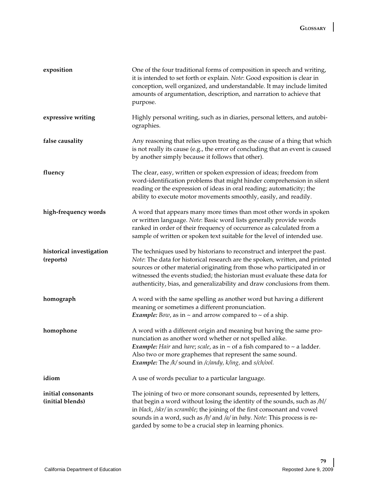| exposition                             | One of the four traditional forms of composition in speech and writing,<br>it is intended to set forth or explain. Note: Good exposition is clear in<br>conception, well organized, and understandable. It may include limited<br>amounts of argumentation, description, and narration to achieve that<br>purpose.                                                                         |
|----------------------------------------|--------------------------------------------------------------------------------------------------------------------------------------------------------------------------------------------------------------------------------------------------------------------------------------------------------------------------------------------------------------------------------------------|
| expressive writing                     | Highly personal writing, such as in diaries, personal letters, and autobi-<br>ographies.                                                                                                                                                                                                                                                                                                   |
| false causality                        | Any reasoning that relies upon treating as the cause of a thing that which<br>is not really its cause (e.g., the error of concluding that an event is caused<br>by another simply because it follows that other).                                                                                                                                                                          |
| fluency                                | The clear, easy, written or spoken expression of ideas; freedom from<br>word-identification problems that might hinder comprehension in silent<br>reading or the expression of ideas in oral reading; automaticity; the<br>ability to execute motor movements smoothly, easily, and readily.                                                                                               |
| high-frequency words                   | A word that appears many more times than most other words in spoken<br>or written language. Note: Basic word lists generally provide words<br>ranked in order of their frequency of occurrence as calculated from a<br>sample of written or spoken text suitable for the level of intended use.                                                                                            |
| historical investigation<br>(reports)  | The techniques used by historians to reconstruct and interpret the past.<br>Note: The data for historical research are the spoken, written, and printed<br>sources or other material originating from those who participated in or<br>witnessed the events studied; the historian must evaluate these data for<br>authenticity, bias, and generalizability and draw conclusions from them. |
| homograph                              | A word with the same spelling as another word but having a different<br>meaning or sometimes a different pronunciation.<br><i>Example: Bow, as in <math>\sim</math> and arrow compared to <math>\sim</math> of a ship.</i>                                                                                                                                                                 |
| homophone                              | A word with a different origin and meaning but having the same pro-<br>nunciation as another word whether or not spelled alike.<br><i>Example: Hair and hare; scale, as in <math>\sim</math> of a fish compared to <math>\sim</math> a ladder.</i><br>Also two or more graphemes that represent the same sound.<br>Example: The /k/ sound in /c/andy, k/ing, and s/ch/ool.                 |
| idiom                                  | A use of words peculiar to a particular language.                                                                                                                                                                                                                                                                                                                                          |
| initial consonants<br>(initial blends) | The joining of two or more consonant sounds, represented by letters,<br>that begin a word without losing the identity of the sounds, such as /bl/<br>in black, /skr/ in scramble; the joining of the first consonant and vowel<br>sounds in a word, such as /b/ and /a/ in baby. Note: This process is re-<br>garded by some to be a crucial step in learning phonics.                     |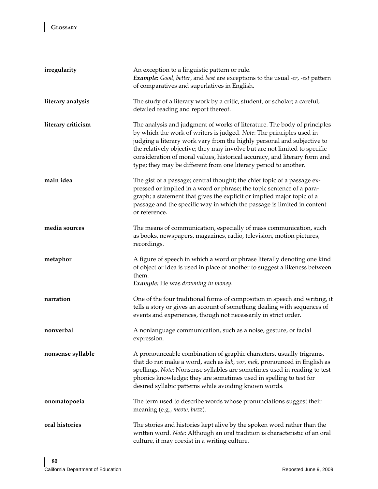| irregularity       | An exception to a linguistic pattern or rule.<br>Example: Good, better, and best are exceptions to the usual -er, -est pattern<br>of comparatives and superlatives in English.                                                                                                                                                                                                                                                                             |
|--------------------|------------------------------------------------------------------------------------------------------------------------------------------------------------------------------------------------------------------------------------------------------------------------------------------------------------------------------------------------------------------------------------------------------------------------------------------------------------|
| literary analysis  | The study of a literary work by a critic, student, or scholar; a careful,<br>detailed reading and report thereof.                                                                                                                                                                                                                                                                                                                                          |
| literary criticism | The analysis and judgment of works of literature. The body of principles<br>by which the work of writers is judged. Note: The principles used in<br>judging a literary work vary from the highly personal and subjective to<br>the relatively objective; they may involve but are not limited to specific<br>consideration of moral values, historical accuracy, and literary form and<br>type; they may be different from one literary period to another. |
| main idea          | The gist of a passage; central thought; the chief topic of a passage ex-<br>pressed or implied in a word or phrase; the topic sentence of a para-<br>graph; a statement that gives the explicit or implied major topic of a<br>passage and the specific way in which the passage is limited in content<br>or reference.                                                                                                                                    |
| media sources      | The means of communication, especially of mass communication, such<br>as books, newspapers, magazines, radio, television, motion pictures,<br>recordings.                                                                                                                                                                                                                                                                                                  |
| metaphor           | A figure of speech in which a word or phrase literally denoting one kind<br>of object or idea is used in place of another to suggest a likeness between<br>them.<br>Example: He was drowning in money.                                                                                                                                                                                                                                                     |
| narration          | One of the four traditional forms of composition in speech and writing, it<br>tells a story or gives an account of something dealing with sequences of<br>events and experiences, though not necessarily in strict order.                                                                                                                                                                                                                                  |
| nonverbal          | A nonlanguage communication, such as a noise, gesture, or facial<br>expression.                                                                                                                                                                                                                                                                                                                                                                            |
| nonsense syllable  | A pronounceable combination of graphic characters, usually trigrams,<br>that do not make a word, such as kak, vor, mek, pronounced in English as<br>spellings. Note: Nonsense syllables are sometimes used in reading to test<br>phonics knowledge; they are sometimes used in spelling to test for<br>desired syllabic patterns while avoiding known words.                                                                                               |
| onomatopoeia       | The term used to describe words whose pronunciations suggest their<br>meaning (e.g., meow, buzz).                                                                                                                                                                                                                                                                                                                                                          |
| oral histories     | The stories and histories kept alive by the spoken word rather than the<br>written word. Note: Although an oral tradition is characteristic of an oral<br>culture, it may coexist in a writing culture.                                                                                                                                                                                                                                                    |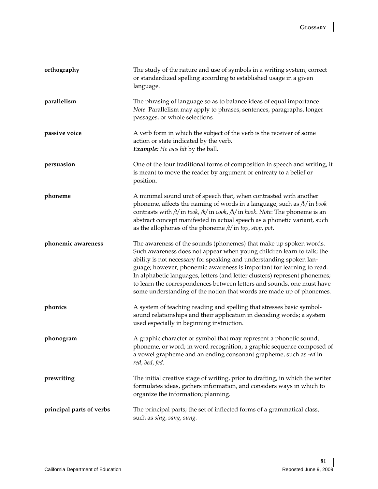| orthography              | The study of the nature and use of symbols in a writing system; correct<br>or standardized spelling according to established usage in a given<br>language.                                                                                                                                                                                                                                                                                                                                                                 |
|--------------------------|----------------------------------------------------------------------------------------------------------------------------------------------------------------------------------------------------------------------------------------------------------------------------------------------------------------------------------------------------------------------------------------------------------------------------------------------------------------------------------------------------------------------------|
| parallelism              | The phrasing of language so as to balance ideas of equal importance.<br>Note: Parallelism may apply to phrases, sentences, paragraphs, longer<br>passages, or whole selections.                                                                                                                                                                                                                                                                                                                                            |
| passive voice            | A verb form in which the subject of the verb is the receiver of some<br>action or state indicated by the verb.<br>Example: He was hit by the ball.                                                                                                                                                                                                                                                                                                                                                                         |
| persuasion               | One of the four traditional forms of composition in speech and writing, it<br>is meant to move the reader by argument or entreaty to a belief or<br>position.                                                                                                                                                                                                                                                                                                                                                              |
| phoneme                  | A minimal sound unit of speech that, when contrasted with another<br>phoneme, affects the naming of words in a language, such as /b/ in book<br>contrasts with /t/ in took, /k/ in cook, /h/ in hook. Note: The phoneme is an<br>abstract concept manifested in actual speech as a phonetic variant, such<br>as the allophones of the phoneme /t/ in top, stop, pot.                                                                                                                                                       |
| phonemic awareness       | The awareness of the sounds (phonemes) that make up spoken words.<br>Such awareness does not appear when young children learn to talk; the<br>ability is not necessary for speaking and understanding spoken lan-<br>guage; however, phonemic awareness is important for learning to read.<br>In alphabetic languages, letters (and letter clusters) represent phonemes;<br>to learn the correspondences between letters and sounds, one must have<br>some understanding of the notion that words are made up of phonemes. |
| phonics                  | A system of teaching reading and spelling that stresses basic symbol-<br>sound relationships and their application in decoding words; a system<br>used especially in beginning instruction.                                                                                                                                                                                                                                                                                                                                |
| phonogram                | A graphic character or symbol that may represent a phonetic sound,<br>phoneme, or word; in word recognition, a graphic sequence composed of<br>a vowel grapheme and an ending consonant grapheme, such as -ed in<br>red, bed, fed.                                                                                                                                                                                                                                                                                         |
| prewriting               | The initial creative stage of writing, prior to drafting, in which the writer<br>formulates ideas, gathers information, and considers ways in which to<br>organize the information; planning.                                                                                                                                                                                                                                                                                                                              |
| principal parts of verbs | The principal parts; the set of inflected forms of a grammatical class,<br>such as sing, sang, sung.                                                                                                                                                                                                                                                                                                                                                                                                                       |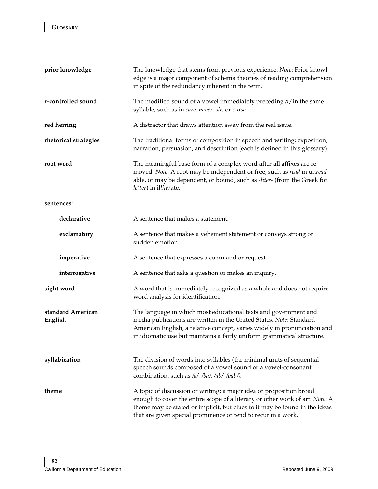| prior knowledge              | The knowledge that stems from previous experience. Note: Prior knowl-<br>edge is a major component of schema theories of reading comprehension<br>in spite of the redundancy inherent in the term.                                                                                                 |
|------------------------------|----------------------------------------------------------------------------------------------------------------------------------------------------------------------------------------------------------------------------------------------------------------------------------------------------|
| r-controlled sound           | The modified sound of a vowel immediately preceding $/r/$ in the same<br>syllable, such as in care, never, sir, or curse.                                                                                                                                                                          |
| red herring                  | A distractor that draws attention away from the real issue.                                                                                                                                                                                                                                        |
| rhetorical strategies        | The traditional forms of composition in speech and writing: exposition,<br>narration, persuasion, and description (each is defined in this glossary).                                                                                                                                              |
| root word                    | The meaningful base form of a complex word after all affixes are re-<br>moved. Note: A root may be independent or free, such as read in unread-<br>able, or may be dependent, or bound, such as -liter- (from the Greek for<br>letter) in illiterate.                                              |
| sentences:                   |                                                                                                                                                                                                                                                                                                    |
| declarative                  | A sentence that makes a statement.                                                                                                                                                                                                                                                                 |
| exclamatory                  | A sentence that makes a vehement statement or conveys strong or<br>sudden emotion.                                                                                                                                                                                                                 |
| imperative                   | A sentence that expresses a command or request.                                                                                                                                                                                                                                                    |
| interrogative                | A sentence that asks a question or makes an inquiry.                                                                                                                                                                                                                                               |
| sight word                   | A word that is immediately recognized as a whole and does not require<br>word analysis for identification.                                                                                                                                                                                         |
| standard American<br>English | The language in which most educational texts and government and<br>media publications are written in the United States. Note: Standard<br>American English, a relative concept, varies widely in pronunciation and<br>in idiomatic use but maintains a fairly uniform grammatical structure.       |
| syllabication                | The division of words into syllables (the minimal units of sequential<br>speech sounds composed of a vowel sound or a vowel-consonant<br>combination, such as /a/, /ba/, /ab/, /bab/).                                                                                                             |
| theme                        | A topic of discussion or writing; a major idea or proposition broad<br>enough to cover the entire scope of a literary or other work of art. Note: A<br>theme may be stated or implicit, but clues to it may be found in the ideas<br>that are given special prominence or tend to recur in a work. |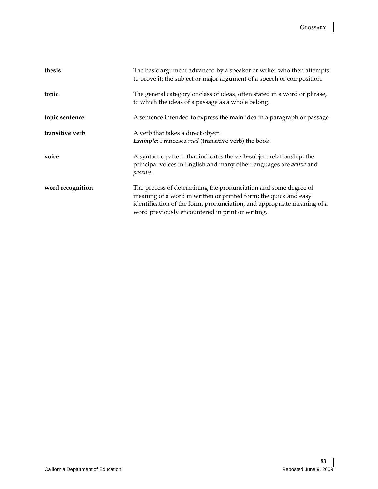| thesis           | The basic argument advanced by a speaker or writer who then attempts<br>to prove it; the subject or major argument of a speech or composition.                                                                                                                     |
|------------------|--------------------------------------------------------------------------------------------------------------------------------------------------------------------------------------------------------------------------------------------------------------------|
| topic            | The general category or class of ideas, often stated in a word or phrase,<br>to which the ideas of a passage as a whole belong.                                                                                                                                    |
| topic sentence   | A sentence intended to express the main idea in a paragraph or passage.                                                                                                                                                                                            |
| transitive verb  | A verb that takes a direct object.<br>Example: Francesca read (transitive verb) the book.                                                                                                                                                                          |
| voice            | A syntactic pattern that indicates the verb-subject relationship; the<br>principal voices in English and many other languages are <i>active</i> and<br>passive.                                                                                                    |
| word recognition | The process of determining the pronunciation and some degree of<br>meaning of a word in written or printed form; the quick and easy<br>identification of the form, pronunciation, and appropriate meaning of a<br>word previously encountered in print or writing. |